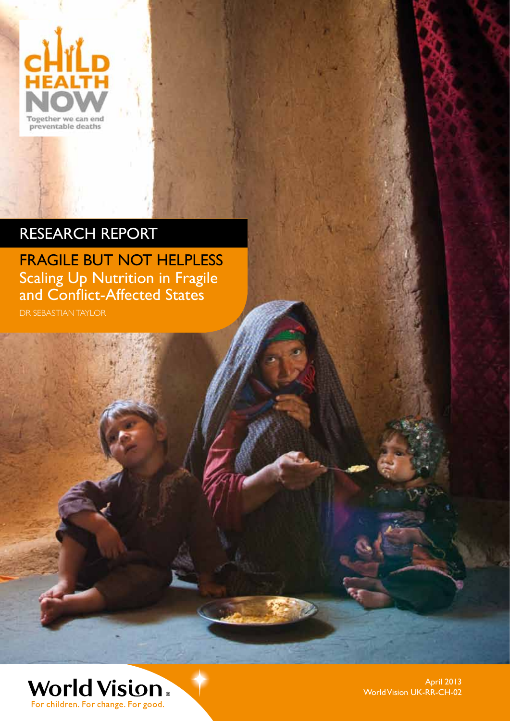

## RESEARCH REPORT

FRAGILE BUT NOT HELPLESS Scaling Up Nutrition in Fragile and Conflict-Affected States DR SEBASTIAN TAYLOR

World Vision. For children. For change. For good.

April 2013 World Vision UK-RR-CH-02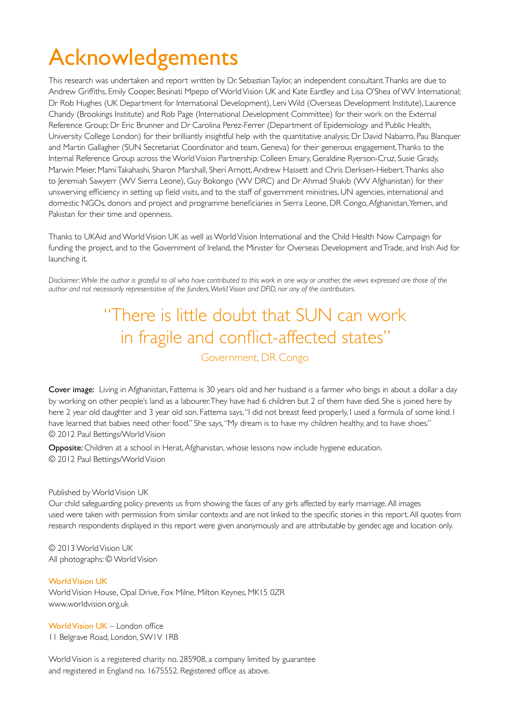## Acknowledgements

This research was undertaken and report written by Dr. Sebastian Taylor, an independent consultant. Thanks are due to Andrew Griffiths, Emily Cooper, Besinati Mpepo of World Vision UK and Kate Eardley and Lisa O'Shea of WV International; Dr Rob Hughes (UK Department for International Development), Leni Wild (Overseas Development Institute), Laurence Chandy (Brookings Institute) and Rob Page (International Development Committee) for their work on the External Reference Group; Dr Eric Brunner and Dr Carolina Perez-Ferrer (Department of Epidemiology and Public Health, University College London) for their brilliantly insightful help with the quantitative analysis; Dr David Nabarro, Pau Blanquer and Martin Gallagher (SUN Secretariat Coordinator and team, Geneva) for their generous engagement. Thanks to the Internal Reference Group across the World Vision Partnership: Colleen Emary, Geraldine Ryerson-Cruz, Susie Grady, Marwin Meier, Mami Takahashi, Sharon Marshall, Sheri Arnott, Andrew Hassett and Chris Derksen-Hiebert. Thanks also to Jeremiah Sawyerr (WV Sierra Leone), Guy Bokongo (WV DRC) and Dr Ahmad Shakib (WV Afghanistan) for their unswerving efficiency in setting up field visits, and to the staff of government ministries, UN agencies, international and domestic NGOs, donors and project and programme beneficiaries in Sierra Leone, DR Congo, Afghanistan, Yemen, and Pakistan for their time and openness.

Thanks to UKAid and World Vision UK as well as World Vision International and the Child Health Now Campaign for funding the project, and to the Government of Ireland, the Minister for Overseas Development and Trade, and Irish Aid for launching it.

*Disclaimer: While the author is grateful to all who have contributed to this work in one way or another, the views expressed are those of the author and not necessarily representative of the funders, World Vision and DFID, nor any of the contributors.*

### "There is little doubt that SUN can work in fragile and conflict-affected states" Government, DR Congo

Cover image: Living in Afghanistan, Fattema is 30 years old and her husband is a farmer who bings in about a dollar a day by working on other people's land as a labourer. They have had 6 children but 2 of them have died. She is joined here by here 2 year old daughter and 3 year old son. Fattema says, "I did not breast feed properly, I used a formula of some kind. I have learned that babies need other food." She says, "My dream is to have my children healthy, and to have shoes." © 2012 Paul Bettings/World Vision

Opposite: Children at a school in Herat, Afghanistan, whose lessons now include hygiene education. © 2012 Paul Bettings/World Vision

#### Published by World Vision UK

Our child safeguarding policy prevents us from showing the faces of any girls affected by early marriage. All images used were taken with permission from similar contexts and are not linked to the specific stories in this report. All quotes from research respondents displayed in this report were given anonymously and are attributable by gender, age and location only.

© 2013 World Vision UK All photographs: © World Vision

World Vision UK World Vision House, Opal Drive, Fox Milne, Milton Keynes, MK15 0ZR www.worldvision.org.uk

World Vision UK – London office 11 Belgrave Road, London, SW1V 1RB

World Vision is a registered charity no. 285908, a company limited by guarantee and registered in England no. 1675552. Registered office as above.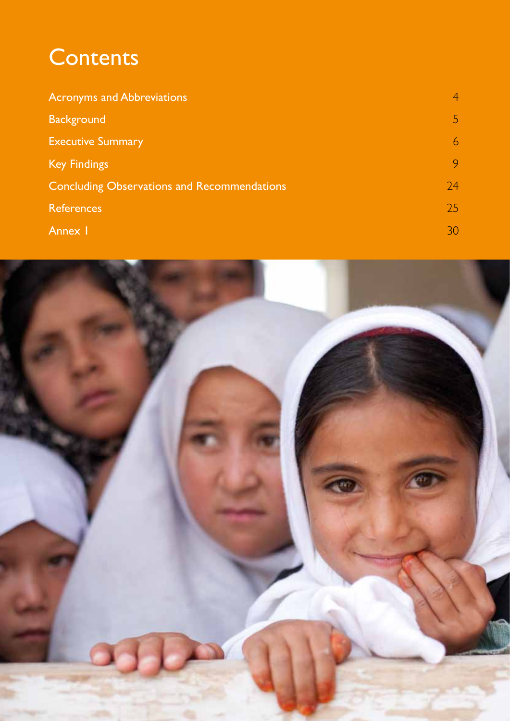## **Contents**

| <b>Acronyms and Abbreviations</b>                  | <b>A</b> |
|----------------------------------------------------|----------|
| <b>Background</b>                                  | 5.       |
| <b>Executive Summary</b>                           | 6        |
| <b>Key Findings</b>                                | 9        |
| <b>Concluding Observations and Recommendations</b> | 74       |
| <b>References</b>                                  | 25       |
| Annex I                                            | 30.      |

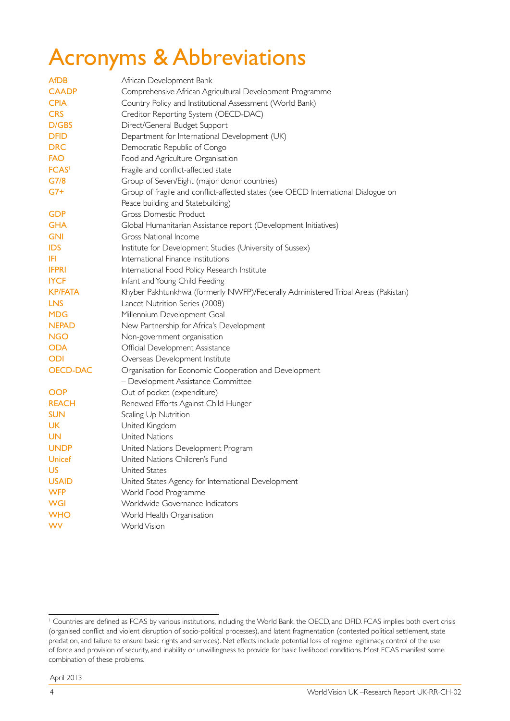## Acronyms & Abbreviations

| <b>AfDB</b>     | African Development Bank                                                          |
|-----------------|-----------------------------------------------------------------------------------|
| <b>CAADP</b>    | Comprehensive African Agricultural Development Programme                          |
| <b>CPIA</b>     | Country Policy and Institutional Assessment (World Bank)                          |
| <b>CRS</b>      | Creditor Reporting System (OECD-DAC)                                              |
| D/GBS           | Direct/General Budget Support                                                     |
| <b>DFID</b>     | Department for International Development (UK)                                     |
| <b>DRC</b>      | Democratic Republic of Congo                                                      |
| <b>FAO</b>      | Food and Agriculture Organisation                                                 |
| <b>FCAS</b>     | Fragile and conflict-affected state                                               |
| G7/8            | Group of Seven/Eight (major donor countries)                                      |
| $G7+$           | Group of fragile and conflict-affected states (see OECD International Dialogue on |
|                 | Peace building and Statebuilding)                                                 |
| <b>GDP</b>      | <b>Gross Domestic Product</b>                                                     |
| <b>GHA</b>      | Global Humanitarian Assistance report (Development Initiatives)                   |
| <b>GNI</b>      | <b>Gross National Income</b>                                                      |
| <b>IDS</b>      | Institute for Development Studies (University of Sussex)                          |
| IFI             | International Finance Institutions                                                |
| <b>IFPRI</b>    | International Food Policy Research Institute                                      |
| <b>IYCF</b>     | Infant and Young Child Feeding                                                    |
| <b>KP/FATA</b>  | Khyber Pakhtunkhwa (formerly NWFP)/Federally Administered Tribal Areas (Pakistan) |
| <b>LNS</b>      | Lancet Nutrition Series (2008)                                                    |
| <b>MDG</b>      | Millennium Development Goal                                                       |
| <b>NEPAD</b>    | New Partnership for Africa's Development                                          |
| <b>NGO</b>      | Non-government organisation                                                       |
| <b>ODA</b>      | Official Development Assistance                                                   |
| <b>ODI</b>      | Overseas Development Institute                                                    |
| <b>OECD-DAC</b> | Organisation for Economic Cooperation and Development                             |
|                 | - Development Assistance Committee                                                |
| <b>OOP</b>      | Out of pocket (expenditure)                                                       |
| <b>REACH</b>    | Renewed Efforts Against Child Hunger                                              |
| <b>SUN</b>      | Scaling Up Nutrition                                                              |
| <b>UK</b>       | United Kingdom                                                                    |
| <b>UN</b>       | United Nations                                                                    |
| <b>UNDP</b>     | United Nations Development Program                                                |
| Unicef          | United Nations Children's Fund                                                    |
| <b>US</b>       | United States                                                                     |
| <b>USAID</b>    | United States Agency for International Development                                |
| <b>WFP</b>      | World Food Programme                                                              |
| <b>WGI</b>      | Worldwide Governance Indicators                                                   |
| <b>WHO</b>      | World Health Organisation                                                         |
| <b>WV</b>       | World Vision                                                                      |

<sup>&</sup>lt;sup>1</sup> Countries are defined as FCAS by various institutions, including the World Bank, the OECD, and DFID. FCAS implies both overt crisis (organised conflict and violent disruption of socio-political processes), and latent fragmentation (contested political settlement, state predation, and failure to ensure basic rights and services). Net effects include potential loss of regime legitimacy, control of the use of force and provision of security, and inability or unwillingness to provide for basic livelihood conditions. Most FCAS manifest some combination of these problems.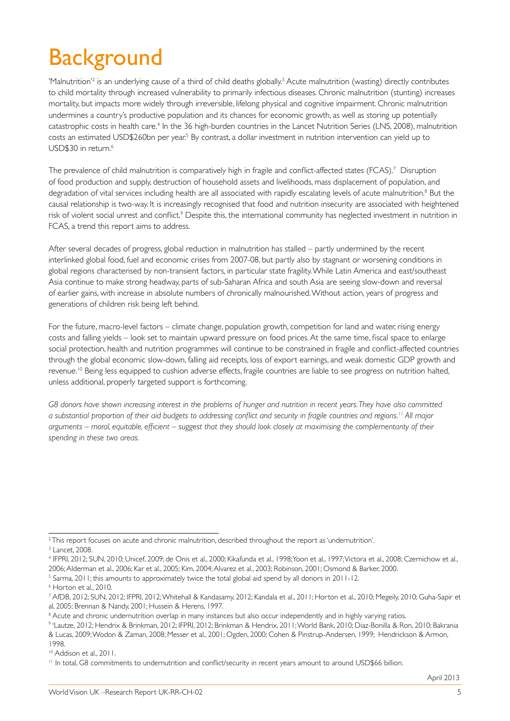## **Background**

'Malnutrition'<sup>2</sup> is an underlying cause of a third of child deaths globally.<sup>3</sup> Acute malnutrition (wasting) directly contributes to child mortality through increased vulnerability to primarily infectious diseases. Chronic malnutrition (stunting) increases mortality, but impacts more widely through irreversible, lifelong physical and cognitive impairment. Chronic malnutrition undermines a country's productive population and its chances for economic growth, as well as storing up potentially catastrophic costs in health care.<sup>4</sup> In the 36 high-burden countries in the Lancet Nutrition Series (LNS, 2008), malnutrition costs an estimated USD\$260bn per year.<sup>5</sup> By contrast, a dollar investment in nutrition intervention can yield up to USD\$30 in return.<sup>6</sup>

The prevalence of child malnutrition is comparatively high in fragile and conflict-affected states (FCAS).7 Disruption of food production and supply, destruction of household assets and livelihoods, mass displacement of population, and degradation of vital services including health are all associated with rapidly escalating levels of acute malnutrition.<sup>8</sup> But the causal relationship is two-way. It is increasingly recognised that food and nutrition insecurity are associated with heightened risk of violent social unrest and conflict.<sup>9</sup> Despite this, the international community has neglected investment in nutrition in FCAS, a trend this report aims to address.

After several decades of progress, global reduction in malnutrition has stalled – partly undermined by the recent interlinked global food, fuel and economic crises from 2007-08, but partly also by stagnant or worsening conditions in global regions characterised by non-transient factors, in particular state fragility. While Latin America and east/southeast Asia continue to make strong headway, parts of sub-Saharan Africa and south Asia are seeing slow-down and reversal of earlier gains, with increase in absolute numbers of chronically malnourished. Without action, years of progress and generations of children risk being left behind.

For the future, macro-level factors – climate change, population growth, competition for land and water, rising energy costs and falling yields – look set to maintain upward pressure on food prices. At the same time, fiscal space to enlarge social protection, health and nutrition programmes will continue to be constrained in fragile and conflict-affected countries through the global economic slow-down, falling aid receipts, loss of export earnings, and weak domestic GDP growth and revenue.<sup>10</sup> Being less equipped to cushion adverse effects, fragile countries are liable to see progress on nutrition halted, unless additional, properly targeted support is forthcoming.

*G8 donors have shown increasing interest in the problems of hunger and nutrition in recent years. They have also committed a substantial proportion of their aid budgets to addressing conflict and security in fragile countries and regions.11 All major arguments – moral, equitable, efficient – suggest that they should look closely at maximising the complementarity of their spending in these two areas.*

<sup>2</sup> This report focuses on acute and chronic malnutrition, described throughout the report as 'undernutrition'.

<sup>3</sup> Lancet, 2008.

<sup>4</sup> IFPRI, 2012; SUN, 2010; Unicef, 2009; de Onis et al., 2000; Kikafunda et al., 1998; Yoon et al., 1997; Victora et al., 2008; Czernichow et al., 2006; Alderman et al., 2006; Kar et al., 2005; Kim, 2004; Alvarez et al., 2003; Robinson, 2001; Osmond & Barker, 2000.

<sup>&</sup>lt;sup>5</sup> Sarma, 2011; this amounts to approximately twice the total global aid spend by all donors in 2011-12.

<sup>6</sup> Horton et al., 2010.

<sup>7</sup> AfDB, 2012; SUN, 2012; IFPRI, 2012; Whitehall & Kandasamy, 2012; Kandala et al., 2011; Horton et al., 2010; Megeily, 2010; Guha-Sapir et al, 2005; Brennan & Nandy, 2001; Hussein & Herens, 1997.

<sup>&</sup>lt;sup>8</sup> Acute and chronic undernutrition overlap in many instances but also occur independently and in highly varying ratios.

<sup>9</sup> vLautze, 2012; Hendrix & Brinkman, 2012; IFPRI, 2012; Brinkman & Hendrix, 2011; World Bank, 2010; Diaz-Bonilla & Ron, 2010; Bakrania & Lucas, 2009; Wodon & Zaman, 2008; Messer et al., 2001; Ogden, 2000; Cohen & Pinstrup-Andersen, 1999; Hendrickson & Armon, 1998.

<sup>&</sup>lt;sup>10</sup> Addison et al., 2011.

<sup>&</sup>lt;sup>11</sup> In total, G8 commitments to undernutrition and conflict/security in recent years amount to around USD\$66 billion.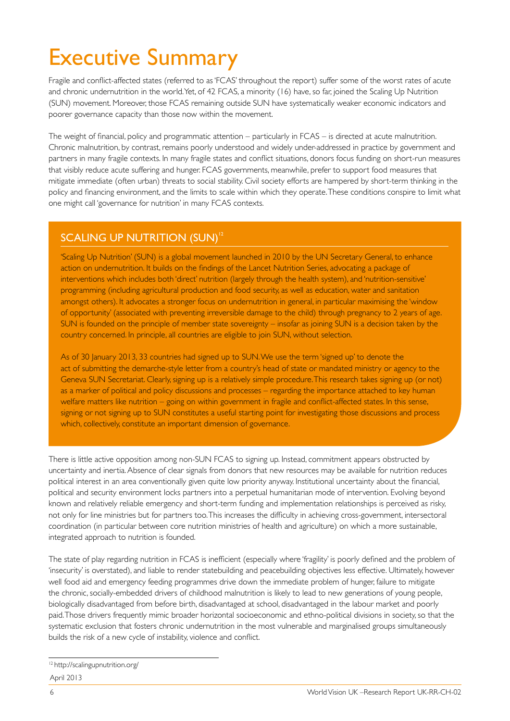## Executive Summary

Fragile and conflict-affected states (referred to as 'FCAS' throughout the report) suffer some of the worst rates of acute and chronic undernutrition in the world. Yet, of 42 FCAS, a minority (16) have, so far, joined the Scaling Up Nutrition (SUN) movement. Moreover, those FCAS remaining outside SUN have systematically weaker economic indicators and poorer governance capacity than those now within the movement.

The weight of financial, policy and programmatic attention – particularly in FCAS – is directed at acute malnutrition. Chronic malnutrition, by contrast, remains poorly understood and widely under-addressed in practice by government and partners in many fragile contexts. In many fragile states and conflict situations, donors focus funding on short-run measures that visibly reduce acute suffering and hunger. FCAS governments, meanwhile, prefer to support food measures that mitigate immediate (often urban) threats to social stability. Civil society efforts are hampered by short-term thinking in the policy and financing environment, and the limits to scale within which they operate. These conditions conspire to limit what one might call 'governance for nutrition' in many FCAS contexts.

#### SCALING UP NUTRITION (SUN)<sup>12</sup>

'Scaling Up Nutrition' (SUN) is a global movement launched in 2010 by the UN Secretary General, to enhance action on undernutrition. It builds on the findings of the Lancet Nutrition Series, advocating a package of interventions which includes both 'direct' nutrition (largely through the health system), and 'nutrition-sensitive' programming (including agricultural production and food security, as well as education, water and sanitation amongst others). It advocates a stronger focus on undernutrition in general, in particular maximising the 'window of opportunity' (associated with preventing irreversible damage to the child) through pregnancy to 2 years of age. SUN is founded on the principle of member state sovereignty – insofar as joining SUN is a decision taken by the country concerned. In principle, all countries are eligible to join SUN, without selection.

As of 30 January 2013, 33 countries had signed up to SUN. We use the term 'signed up' to denote the act of submitting the demarche-style letter from a country's head of state or mandated ministry or agency to the Geneva SUN Secretariat. Clearly, signing up is a relatively simple procedure. This research takes signing up (or not) as a marker of political and policy discussions and processes – regarding the importance attached to key human welfare matters like nutrition – going on within government in fragile and conflict-affected states. In this sense, signing or not signing up to SUN constitutes a useful starting point for investigating those discussions and process which, collectively, constitute an important dimension of governance.

There is little active opposition among non-SUN FCAS to signing up. Instead, commitment appears obstructed by uncertainty and inertia. Absence of clear signals from donors that new resources may be available for nutrition reduces political interest in an area conventionally given quite low priority anyway. Institutional uncertainty about the financial, political and security environment locks partners into a perpetual humanitarian mode of intervention. Evolving beyond known and relatively reliable emergency and short-term funding and implementation relationships is perceived as risky, not only for line ministries but for partners too. This increases the difficulty in achieving cross-government, intersectoral coordination (in particular between core nutrition ministries of health and agriculture) on which a more sustainable, integrated approach to nutrition is founded.

The state of play regarding nutrition in FCAS is inefficient (especially where 'fragility' is poorly defined and the problem of 'insecurity' is overstated), and liable to render statebuilding and peacebuilding objectives less effective. Ultimately, however well food aid and emergency feeding programmes drive down the immediate problem of hunger, failure to mitigate the chronic, socially-embedded drivers of childhood malnutrition is likely to lead to new generations of young people, biologically disadvantaged from before birth, disadvantaged at school, disadvantaged in the labour market and poorly paid. Those drivers frequently mimic broader horizontal socioeconomic and ethno-political divisions in society, so that the systematic exclusion that fosters chronic undernutrition in the most vulnerable and marginalised groups simultaneously builds the risk of a new cycle of instability, violence and conflict.

April 2013 12 http://scalingupnutrition.org/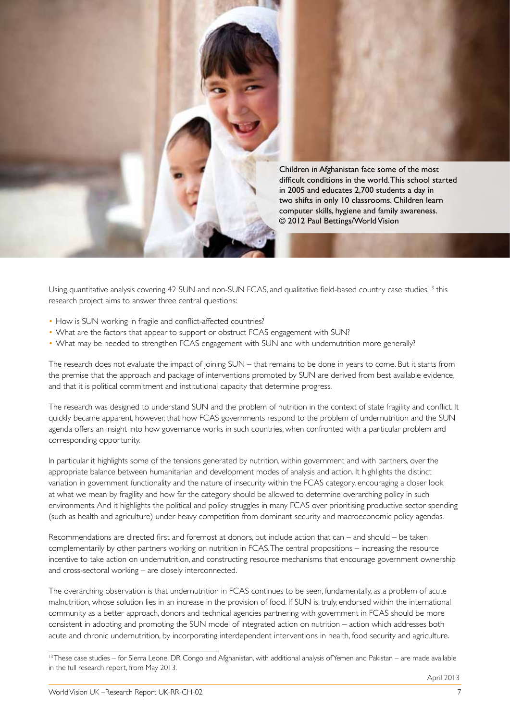

Using quantitative analysis covering 42 SUN and non-SUN FCAS, and qualitative field-based country case studies,<sup>13</sup> this research project aims to answer three central questions:

- How is SUN working in fragile and conflict-affected countries?
- What are the factors that appear to support or obstruct FCAS engagement with SUN?
- What may be needed to strengthen FCAS engagement with SUN and with undernutrition more generally?

The research does not evaluate the impact of joining SUN – that remains to be done in years to come. But it starts from the premise that the approach and package of interventions promoted by SUN are derived from best available evidence, and that it is political commitment and institutional capacity that determine progress.

The research was designed to understand SUN and the problem of nutrition in the context of state fragility and conflict. It quickly became apparent, however, that how FCAS governments respond to the problem of undernutrition and the SUN agenda offers an insight into how governance works in such countries, when confronted with a particular problem and corresponding opportunity.

In particular it highlights some of the tensions generated by nutrition, within government and with partners, over the appropriate balance between humanitarian and development modes of analysis and action. It highlights the distinct variation in government functionality and the nature of insecurity within the FCAS category, encouraging a closer look at what we mean by fragility and how far the category should be allowed to determine overarching policy in such environments. And it highlights the political and policy struggles in many FCAS over prioritising productive sector spending (such as health and agriculture) under heavy competition from dominant security and macroeconomic policy agendas.

Recommendations are directed first and foremost at donors, but include action that can – and should – be taken complementarily by other partners working on nutrition in FCAS. The central propositions – increasing the resource incentive to take action on undernutrition, and constructing resource mechanisms that encourage government ownership and cross-sectoral working – are closely interconnected.

The overarching observation is that undernutrition in FCAS continues to be seen, fundamentally, as a problem of acute malnutrition, whose solution lies in an increase in the provision of food. If SUN is, truly, endorsed within the international community as a better approach, donors and technical agencies partnering with government in FCAS should be more consistent in adopting and promoting the SUN model of integrated action on nutrition – action which addresses both acute and chronic undernutrition, by incorporating interdependent interventions in health, food security and agriculture.

<sup>&</sup>lt;sup>13</sup> These case studies – for Sierra Leone, DR Congo and Afghanistan, with additional analysis of Yemen and Pakistan – are made available in the full research report, from May 2013.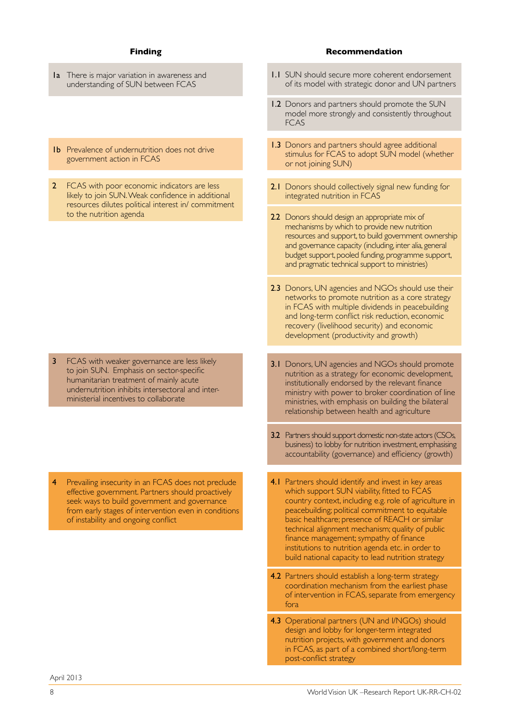- 1a There is major variation in awareness and understanding of SUN between FCAS
- 1b Prevalence of undernutrition does not drive government action in FCAS
- 2 FCAS with poor economic indicators are less likely to join SUN. Weak confidence in additional resources dilutes political interest in/ commitment to the nutrition agenda

3 FCAS with weaker governance are less likely to join SUN. Emphasis on sector-specific humanitarian treatment of mainly acute undernutrition inhibits intersectoral and interministerial incentives to collaborate

Prevailing insecurity in an FCAS does not preclude effective government. Partners should proactively seek ways to build government and governance from early stages of intervention even in conditions of instability and ongoing conflict

#### **Finding Recommendation**

- 1.1 SUN should secure more coherent endorsement of its model with strategic donor and UN partners
- 1.2 Donors and partners should promote the SUN model more strongly and consistently throughout FCAS
- 1.3 Donors and partners should agree additional stimulus for FCAS to adopt SUN model (whether or not joining SUN)
- 2.1 Donors should collectively signal new funding for integrated nutrition in FCAS
- 2.2 Donors should design an appropriate mix of mechanisms by which to provide new nutrition resources and support, to build government ownership and governance capacity (including, inter alia, general budget support, pooled funding, programme support, and pragmatic technical support to ministries)
- 2.3 Donors, UN agencies and NGOs should use their networks to promote nutrition as a core strategy in FCAS with multiple dividends in peacebuilding and long-term conflict risk reduction, economic recovery (livelihood security) and economic development (productivity and growth)
- 3.1 Donors, UN agencies and NGOs should promote nutrition as a strategy for economic development, institutionally endorsed by the relevant finance ministry with power to broker coordination of line ministries, with emphasis on building the bilateral relationship between health and agriculture
- 3.2 Partners should support domestic non-state actors (CSOs, business) to lobby for nutrition investment, emphasising accountability (governance) and efficiency (growth)
- 4.1 Partners should identify and invest in key areas which support SUN viability, fitted to FCAS country context, including e.g. role of agriculture in peacebuilding; political commitment to equitable basic healthcare; presence of REACH or similar technical alignment mechanism; quality of public finance management; sympathy of finance institutions to nutrition agenda etc. in order to build national capacity to lead nutrition strategy
- 4.2 Partners should establish a long-term strategy coordination mechanism from the earliest phase of intervention in FCAS, separate from emergency fora
- 4.3 Operational partners (UN and I/NGOs) should design and lobby for longer-term integrated nutrition projects, with government and donors in FCAS, as part of a combined short/long-term post-conflict strategy

April 2013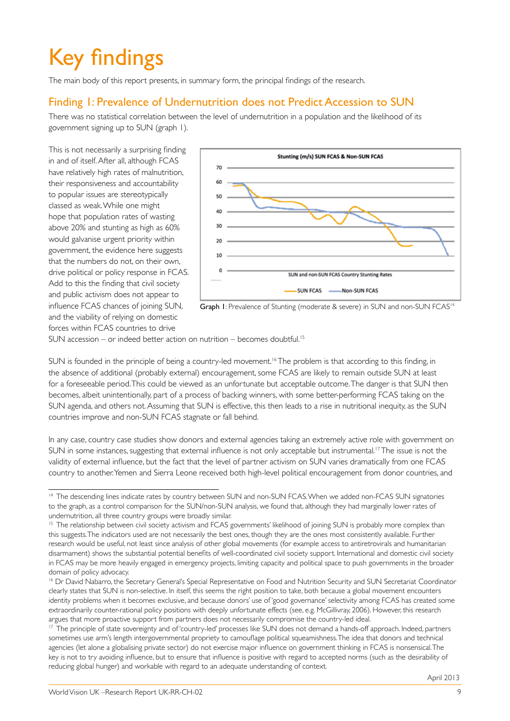# Key findings

The main body of this report presents, in summary form, the principal findings of the research.

### Finding 1: Prevalence of Undernutrition does not Predict Accession to SUN

There was no statistical correlation between the level of undernutrition in a population and the likelihood of its government signing up to SUN (graph 1).

This is not necessarily a surprising finding in and of itself. After all, although FCAS have relatively high rates of malnutrition, their responsiveness and accountability to popular issues are stereotypically classed as weak. While one might hope that population rates of wasting above 20% and stunting as high as 60% would galvanise urgent priority within government, the evidence here suggests that the numbers do not, on their own, drive political or policy response in FCAS. Add to this the finding that civil society and public activism does not appear to influence FCAS chances of joining SUN, and the viability of relying on domestic forces within FCAS countries to drive



Graph 1: Prevalence of Stunting (moderate & severe) in SUN and non-SUN FCAS<sup>14</sup>

SUN accession – or indeed better action on nutrition – becomes doubtful.<sup>15</sup>

SUN is founded in the principle of being a country-led movement.<sup>16</sup> The problem is that according to this finding, in the absence of additional (probably external) encouragement, some FCAS are likely to remain outside SUN at least for a foreseeable period. This could be viewed as an unfortunate but acceptable outcome. The danger is that SUN then becomes, albeit unintentionally, part of a process of backing winners, with some better-performing FCAS taking on the SUN agenda, and others not. Assuming that SUN is effective, this then leads to a rise in nutritional inequity, as the SUN countries improve and non-SUN FCAS stagnate or fall behind.

In any case, country case studies show donors and external agencies taking an extremely active role with government on SUN in some instances, suggesting that external influence is not only acceptable but instrumental.<sup>17</sup> The issue is not the validity of external influence, but the fact that the level of partner activism on SUN varies dramatically from one FCAS country to another. Yemen and Sierra Leone received both high-level political encouragement from donor countries, and

<sup>&</sup>lt;sup>14</sup> The descending lines indicate rates by country between SUN and non-SUN FCAS. When we added non-FCAS SUN signatories to the graph, as a control comparison for the SUN/non-SUN analysis, we found that, although they had marginally lower rates of undernutrition, all three country groups were broadly similar.

<sup>&</sup>lt;sup>15</sup> The relationship between civil society activism and FCAS governments' likelihood of joining SUN is probably more complex than this suggests. The indicators used are not necessarily the best ones, though they are the ones most consistently available. Further research would be useful, not least since analysis of other global movements (for example access to antiretrovirals and humanitarian disarmament) shows the substantial potential benefits of well-coordinated civil society support. International and domestic civil society in FCAS may be more heavily engaged in emergency projects, limiting capacity and political space to push governments in the broader domain of policy advocacy.

<sup>16</sup> Dr David Nabarro, the Secretary General's Special Representative on Food and Nutrition Security and SUN Secretariat Coordinator clearly states that SUN is non-selective. In itself, this seems the right position to take, both because a global movement encounters identity problems when it becomes exclusive, and because donors' use of 'good governance' selectivity among FCAS has created some extraordinarily counter-rational policy positions with deeply unfortunate effects (see, e.g. McGillivray, 2006). However, this research argues that more proactive support from partners does not necessarily compromise the country-led ideal.

<sup>&</sup>lt;sup>17</sup> The principle of state sovereignty and of 'country-led' processes like SUN does not demand a hands-off approach. Indeed, partners sometimes use arm's length intergovernmental propriety to camouflage political squeamishness. The idea that donors and technical agencies (let alone a globalising private sector) do not exercise major influence on government thinking in FCAS is nonsensical. The key is not to try avoiding influence, but to ensure that influence is positive with regard to accepted norms (such as the desirability of reducing global hunger) and workable with regard to an adequate understanding of context.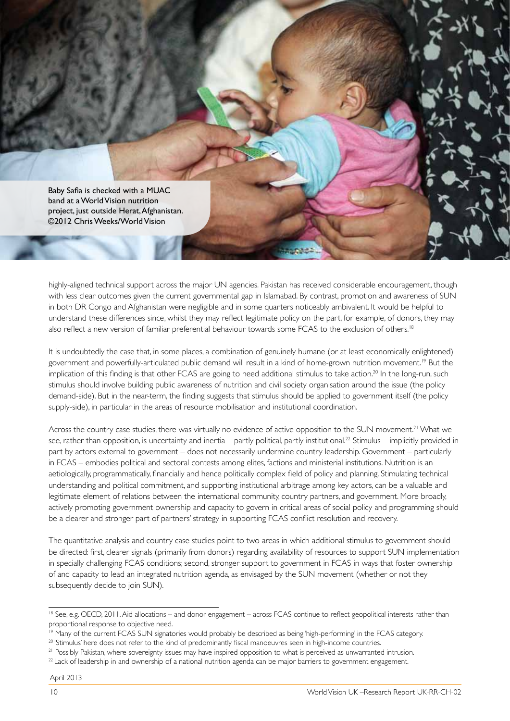Baby Safia is checked with a MUAC band at a World Vision nutrition project, just outside Herat, Afghanistan. ©2012 Chris Weeks/World Vision

highly-aligned technical support across the major UN agencies. Pakistan has received considerable encouragement, though with less clear outcomes given the current governmental gap in Islamabad. By contrast, promotion and awareness of SUN in both DR Congo and Afghanistan were negligible and in some quarters noticeably ambivalent. It would be helpful to understand these differences since, whilst they may reflect legitimate policy on the part, for example, of donors, they may also reflect a new version of familiar preferential behaviour towards some FCAS to the exclusion of others.<sup>18</sup>

It is undoubtedly the case that, in some places, a combination of genuinely humane (or at least economically enlightened) government and powerfully-articulated public demand will result in a kind of home-grown nutrition movement.<sup>19</sup> But the implication of this finding is that other FCAS are going to need additional stimulus to take action.<sup>20</sup> In the long-run, such stimulus should involve building public awareness of nutrition and civil society organisation around the issue (the policy demand-side). But in the near-term, the finding suggests that stimulus should be applied to government itself (the policy supply-side), in particular in the areas of resource mobilisation and institutional coordination.

Across the country case studies, there was virtually no evidence of active opposition to the SUN movement.<sup>21</sup> What we see, rather than opposition, is uncertainty and inertia – partly political, partly institutional.<sup>22</sup> Stimulus – implicitly provided in part by actors external to government – does not necessarily undermine country leadership. Government – particularly in FCAS – embodies political and sectoral contests among elites, factions and ministerial institutions. Nutrition is an aetiologically, programmatically, financially and hence politically complex field of policy and planning. Stimulating technical understanding and political commitment, and supporting institutional arbitrage among key actors, can be a valuable and legitimate element of relations between the international community, country partners, and government. More broadly, actively promoting government ownership and capacity to govern in critical areas of social policy and programming should be a clearer and stronger part of partners' strategy in supporting FCAS conflict resolution and recovery.

The quantitative analysis and country case studies point to two areas in which additional stimulus to government should be directed: first, clearer signals (primarily from donors) regarding availability of resources to support SUN implementation in specially challenging FCAS conditions; second, stronger support to government in FCAS in ways that foster ownership of and capacity to lead an integrated nutrition agenda, as envisaged by the SUN movement (whether or not they subsequently decide to join SUN).

<sup>18</sup> See, e.g. OECD, 2011. Aid allocations – and donor engagement – across FCAS continue to reflect geopolitical interests rather than proportional response to objective need.

<sup>&</sup>lt;sup>19</sup> Many of the current FCAS SUN signatories would probably be described as being 'high-performing' in the FCAS category.

<sup>20 &#</sup>x27;Stimulus' here does not refer to the kind of predominantly fiscal manoeuvres seen in high-income countries.

<sup>&</sup>lt;sup>21</sup> Possibly Pakistan, where sovereignty issues may have inspired opposition to what is perceived as unwarranted intrusion.

<sup>&</sup>lt;sup>22</sup> Lack of leadership in and ownership of a national nutrition agenda can be major barriers to government engagement.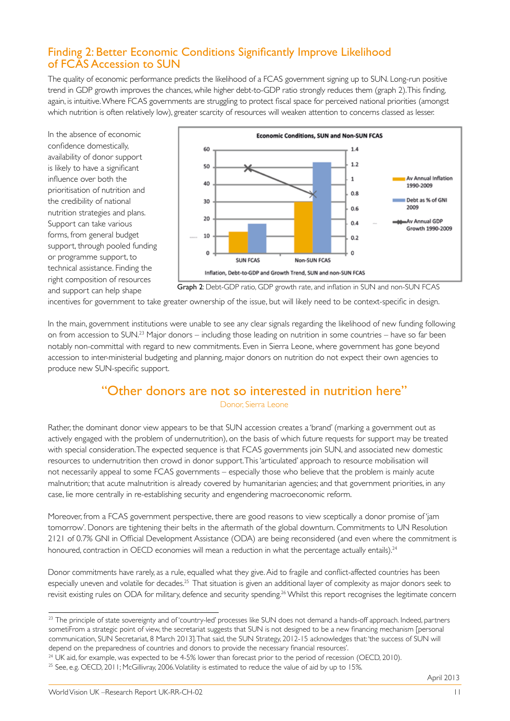### Finding 2: Better Economic Conditions Significantly Improve Likelihood of FCAS Accession to SUN

The quality of economic performance predicts the likelihood of a FCAS government signing up to SUN. Long-run positive trend in GDP growth improves the chances, while higher debt-to-GDP ratio strongly reduces them (graph 2). This finding, again, is intuitive. Where FCAS governments are struggling to protect fiscal space for perceived national priorities (amongst which nutrition is often relatively low), greater scarcity of resources will weaken attention to concerns classed as lesser.

In the absence of economic confidence domestically, availability of donor support is likely to have a significant influence over both the prioritisation of nutrition and the credibility of national nutrition strategies and plans. Support can take various forms, from general budget support, through pooled funding or programme support, to technical assistance. Finding the right composition of resources and support can help shape



Graph 2: Debt-GDP ratio, GDP growth rate, and inflation in SUN and non-SUN FCAS

incentives for government to take greater ownership of the issue, but will likely need to be context-specific in design.

In the main, government institutions were unable to see any clear signals regarding the likelihood of new funding following on from accession to SUN.23 Major donors – including those leading on nutrition in some countries – have so far been notably non-committal with regard to new commitments. Even in Sierra Leone, where government has gone beyond accession to inter-ministerial budgeting and planning, major donors on nutrition do not expect their own agencies to produce new SUN-specific support.

### "Other donors are not so interested in nutrition here"

Donor, Sierra Leone

Rather, the dominant donor view appears to be that SUN accession creates a 'brand' (marking a government out as actively engaged with the problem of undernutrition), on the basis of which future requests for support may be treated with special consideration. The expected sequence is that FCAS governments join SUN, and associated new domestic resources to undernutrition then crowd in donor support. This 'articulated' approach to resource mobilisation will not necessarily appeal to some FCAS governments – especially those who believe that the problem is mainly acute malnutrition; that acute malnutrition is already covered by humanitarian agencies; and that government priorities, in any case, lie more centrally in re-establishing security and engendering macroeconomic reform.

Moreover, from a FCAS government perspective, there are good reasons to view sceptically a donor promise of 'jam tomorrow'. Donors are tightening their belts in the aftermath of the global downturn. Commitments to UN Resolution 2121 of 0.7% GNI in Official Development Assistance (ODA) are being reconsidered (and even where the commitment is honoured, contraction in OECD economies will mean a reduction in what the percentage actually entails).<sup>24</sup>

Donor commitments have rarely, as a rule, equalled what they give. Aid to fragile and conflict-affected countries has been especially uneven and volatile for decades.25 That situation is given an additional layer of complexity as major donors seek to revisit existing rules on ODA for military, defence and security spending.<sup>26</sup> Whilst this report recognises the legitimate concern

April 2013

<sup>&</sup>lt;sup>23</sup> The principle of state sovereignty and of 'country-led' processes like SUN does not demand a hands-off approach. Indeed, partners sometiFrom a strategic point of view, the secretariat suggests that SUN is not designed to be a new financing mechanism [personal communication, SUN Secretariat, 8 March 2013]. That said, the SUN Strategy, 2012-15 acknowledges that: 'the success of SUN will depend on the preparedness of countries and donors to provide the necessary financial resources'.

<sup>&</sup>lt;sup>24</sup> UK aid, for example, was expected to be 4-5% lower than forecast prior to the period of recession (OECD, 2010).

<sup>&</sup>lt;sup>25</sup> See, e.g. OECD, 2011; McGillivray, 2006. Volatility is estimated to reduce the value of aid by up to 15%.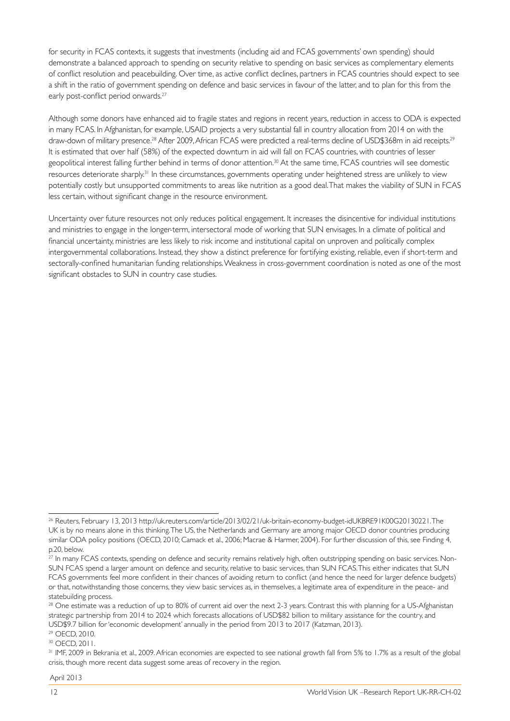for security in FCAS contexts, it suggests that investments (including aid and FCAS governments' own spending) should demonstrate a balanced approach to spending on security relative to spending on basic services as complementary elements of conflict resolution and peacebuilding. Over time, as active conflict declines, partners in FCAS countries should expect to see a shift in the ratio of government spending on defence and basic services in favour of the latter, and to plan for this from the early post-conflict period onwards.<sup>27</sup>

Although some donors have enhanced aid to fragile states and regions in recent years, reduction in access to ODA is expected in many FCAS. In Afghanistan, for example, USAID projects a very substantial fall in country allocation from 2014 on with the draw-down of military presence.<sup>28</sup> After 2009, African FCAS were predicted a real-terms decline of USD\$368m in aid receipts.<sup>29</sup> It is estimated that over half (58%) of the expected downturn in aid will fall on FCAS countries, with countries of lesser geopolitical interest falling further behind in terms of donor attention.<sup>30</sup> At the same time, FCAS countries will see domestic resources deteriorate sharply.<sup>31</sup> In these circumstances, governments operating under heightened stress are unlikely to view potentially costly but unsupported commitments to areas like nutrition as a good deal. That makes the viability of SUN in FCAS less certain, without significant change in the resource environment.

Uncertainty over future resources not only reduces political engagement. It increases the disincentive for individual institutions and ministries to engage in the longer-term, intersectoral mode of working that SUN envisages. In a climate of political and financial uncertainty, ministries are less likely to risk income and institutional capital on unproven and politically complex intergovernmental collaborations. Instead, they show a distinct preference for fortifying existing, reliable, even if short-term and sectorally-confined humanitarian funding relationships. Weakness in cross-government coordination is noted as one of the most significant obstacles to SUN in country case studies.

29 OECD, 2010.

30 OECD, 2011.

<sup>26</sup> Reuters, February 13, 2013 http://uk.reuters.com/article/2013/02/21/uk-britain-economy-budget-idUKBRE91K00G20130221. The UK is by no means alone in this thinking. The US, the Netherlands and Germany are among major OECD donor countries producing similar ODA policy positions (OECD, 2010; Camack et al., 2006; Macrae & Harmer, 2004). For further discussion of this, see Finding 4, p.20, below.

<sup>&</sup>lt;sup>27</sup> In many FCAS contexts, spending on defence and security remains relatively high, often outstripping spending on basic services. Non-SUN FCAS spend a larger amount on defence and security, relative to basic services, than SUN FCAS. This either indicates that SUN FCAS governments feel more confident in their chances of avoiding return to conflict (and hence the need for larger defence budgets) or that, notwithstanding those concerns, they view basic services as, in themselves, a legitimate area of expenditure in the peace- and statebuilding process.

<sup>&</sup>lt;sup>28</sup> One estimate was a reduction of up to 80% of current aid over the next 2-3 years. Contrast this with planning for a US-Afghanistan strategic partnership from 2014 to 2024 which forecasts allocations of USD\$82 billion to military assistance for the country, and USD\$9.7 billion for 'economic development' annually in the period from 2013 to 2017 (Katzman, 2013).

<sup>&</sup>lt;sup>31</sup> IMF, 2009 in Bekrania et al., 2009. African economies are expected to see national growth fall from 5% to 1.7% as a result of the global crisis, though more recent data suggest some areas of recovery in the region.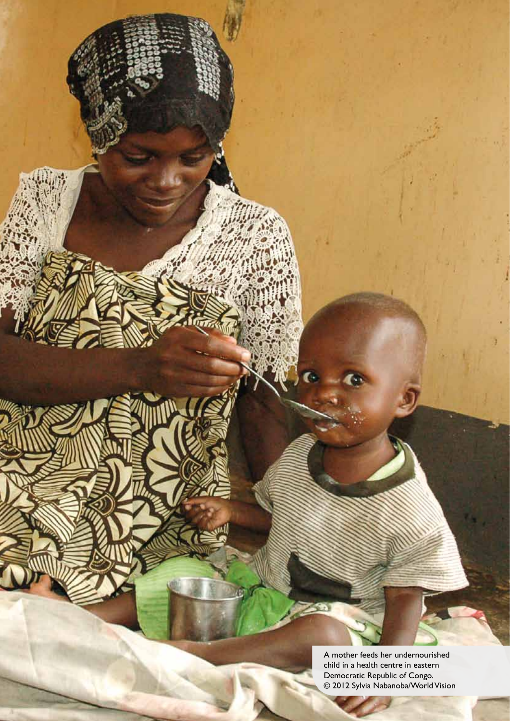A mother feeds her undernourished child in a health centre in eastern Democratic Republic of Congo. © 2012 Sylvia Nabanoba/World Vision

W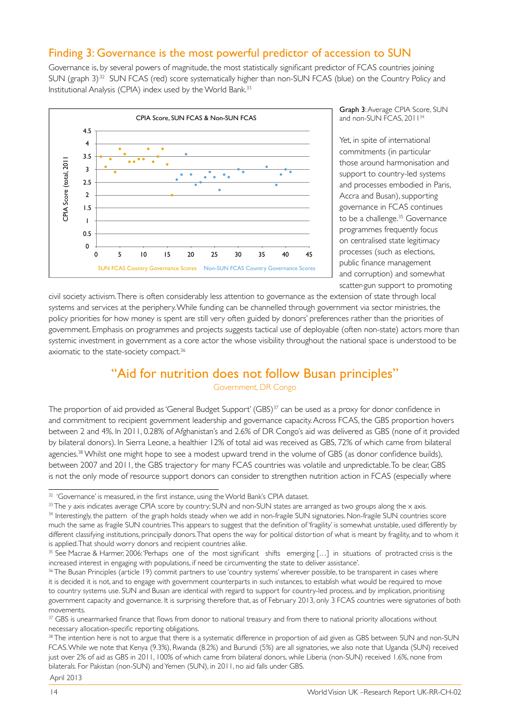#### Finding 3: Governance is the most powerful predictor of accession to SUN

Governance is, by several powers of magnitude, the most statistically significant predictor of FCAS countries joining SUN (graph 3)<sup>32</sup> SUN FCAS (red) score systematically higher than non-SUN FCAS (blue) on the Country Policy and Institutional Analysis (CPIA) index used by the World Bank.<sup>33</sup>



Graph 3: Average CPIA Score, SUN and non-SUN FCAS, 2011<sup>34</sup>

Yet, in spite of international commitments (in particular those around harmonisation and support to country-led systems and processes embodied in Paris, Accra and Busan), supporting governance in FCAS continues to be a challenge.<sup>35</sup> Governance programmes frequently focus on centralised state legitimacy processes (such as elections, public finance management and corruption) and somewhat scatter-gun support to promoting

civil society activism. There is often considerably less attention to governance as the extension of state through local systems and services at the periphery. While funding can be channelled through government via sector ministries, the policy priorities for how money is spent are still very often guided by donors' preferences rather than the priorities of government. Emphasis on programmes and projects suggests tactical use of deployable (often non-state) actors more than systemic investment in government as a core actor the whose visibility throughout the national space is understood to be axiomatic to the state-society compact.<sup>36</sup>

### "Aid for nutrition does not follow Busan principles"

Government, DR Congo

The proportion of aid provided as 'General Budget Support' (GBS)<sup>37</sup> can be used as a proxy for donor confidence in and commitment to recipient government leadership and governance capacity. Across FCAS, the GBS proportion hovers between 2 and 4%. In 2011, 0.28% of Afghanistan's and 2.6% of DR Congo's aid was delivered as GBS (none of it provided by bilateral donors). In Sierra Leone, a healthier 12% of total aid was received as GBS, 72% of which came from bilateral agencies.<sup>38</sup> Whilst one might hope to see a modest upward trend in the volume of GBS (as donor confidence builds), between 2007 and 2011, the GBS trajectory for many FCAS countries was volatile and unpredictable. To be clear, GBS is not the only mode of resource support donors can consider to strengthen nutrition action in FCAS (especially where

<sup>&</sup>lt;sup>32</sup> 'Governance' is measured, in the first instance, using the World Bank's CPIA dataset.

<sup>&</sup>lt;sup>33</sup> The y axis indicates average CPIA score by country; SUN and non-SUN states are arranged as two groups along the x axis. <sup>34</sup> Interestingly, the pattern of the graph holds steady when we add in non-fragile SUN signatories. Non-fragile SUN countries score

much the same as fragile SUN countries. This appears to suggest that the definition of 'fragility' is somewhat unstable, used differently by different classifying institutions, principally donors. That opens the way for political distortion of what is meant by fragility, and to whom it is applied. That should worry donors and recipient countries alike.

<sup>&</sup>lt;sup>35</sup> See Macrae & Harmer, 2006: 'Perhaps one of the most significant shifts emerging [...] in situations of protracted crisis is the increased interest in engaging with populations, if need be circumventing the state to deliver assistance'.

<sup>&</sup>lt;sup>36</sup> The Busan Principles (article 19) commit partners to use 'country systems' wherever possible, to be transparent in cases where it is decided it is not, and to engage with government counterparts in such instances, to establish what would be required to move to country systems use. SUN and Busan are identical with regard to support for country-led process, and by implication, prioritising government capacity and governance. It is surprising therefore that, as of February 2013, only 3 FCAS countries were signatories of both movements.

<sup>37</sup> GBS is unearmarked finance that flows from donor to national treasury and from there to national priority allocations without necessary allocation-specific reporting obligations.

<sup>38</sup> The intention here is not to argue that there is a systematic difference in proportion of aid given as GBS between SUN and non-SUN FCAS. While we note that Kenya (9.3%), Rwanda (8.2%) and Burundi (5%) are all signatories, we also note that Uganda (SUN) received just over 2% of aid as GBS in 2011, 100% of which came from bilateral donors, while Liberia (non-SUN) received 1.6%, none from bilaterals. For Pakistan (non-SUN) and Yemen (SUN), in 2011, no aid falls under GBS. April 2013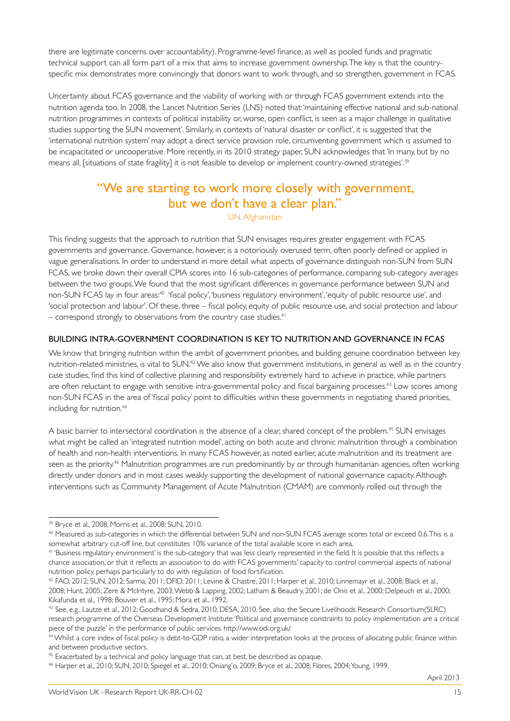there are legitimate concerns over accountability). Programme-level finance, as well as pooled funds and pragmatic technical support can all form part of a mix that aims to increase government ownership. The key is that the countryspecific mix demonstrates more convincingly that donors want to work through, and so strengthen, government in FCAS.

Uncertainty about FCAS governance and the viability of working with or through FCAS government extends into the nutrition agenda too. In 2008, the Lancet Nutrition Series (LNS) noted that: 'maintaining effective national and sub-national nutrition programmes in contexts of political instability or, worse, open conflict, is seen as a major challenge in qualitative studies supporting the SUN movement'. Similarly, in contexts of 'natural disaster or conflict', it is suggested that the 'international nutrition system' may adopt a direct service provision role, circumventing government which is assumed to be incapacitated or uncooperative. More recently, in its 2010 strategy paper, SUN acknowledges that 'In many, but by no means all, [situations of state fragility] it is not feasible to develop or implement country-owned strategies'.39

### "We are starting to work more closely with government, but we don't have a clear plan."

UN, Afghanistan

This finding suggests that the approach to nutrition that SUN envisages requires greater engagement with FCAS governments and governance. Governance, however, is a notoriously overused term, often poorly defined or applied in vague generalisations. In order to understand in more detail what aspects of governance distinguish non-SUN from SUN FCAS, we broke down their overall CPIA scores into 16 sub-categories of performance, comparing sub-category averages between the two groups. We found that the most significant differences in governance performance between SUN and non-SUN FCAS lay in four areas:<sup>40</sup> 'fiscal policy', 'business regulatory environment', 'equity of public resource use', and 'social protection and labour'. Of these, three – fiscal policy, equity of public resource use, and social protection and labour  $-$  correspond strongly to observations from the country case studies.<sup>41</sup>

#### BUILDING INTRA-GOVERNMENT COORDINATION IS KEY TO NUTRITION AND GOVERNANCE IN FCAS

We know that bringing nutrition within the ambit of government priorities, and building genuine coordination between key nutrition-related ministries, is vital to SUN.<sup>42</sup> We also know that government institutions, in general as well as in the country case studies, find this kind of collective planning and responsibility extremely hard to achieve in practice, while partners are often reluctant to engage with sensitive intra-governmental policy and fiscal bargaining processes.<sup>43</sup> Low scores among non-SUN FCAS in the area of 'fiscal policy' point to difficulties within these governments in negotiating shared priorities, including for nutrition.<sup>44</sup>

A basic barrier to intersectoral coordination is the absence of a clear, shared concept of the problem.<sup>45</sup> SUN envisages what might be called an 'integrated nutrition model', acting on both acute and chronic malnutrition through a combination of health and non-health interventions. In many FCAS however, as noted earlier, acute malnutrition and its treatment are seen as the priority.<sup>46</sup> Malnutrition programmes are run predominantly by or through humanitarian agencies, often working directly under donors and in most cases weakly supporting the development of national governance capacity. Although interventions such as Community Management of Acute Malnutrition (CMAM) are commonly rolled out through the

April 2013

<sup>39</sup> Bryce et al., 2008; Morris et al., 2008; SUN, 2010.

<sup>40</sup> Measured as sub-categories in which the differential between SUN and non-SUN FCAS average scores total or exceed 0.6. This is a somewhat arbitrary cut-off line, but constitutes 10% variance of the total available score in each area.

<sup>41 &#</sup>x27;Business regulatory environment' is the sub-category that was less clearly represented in the field. It is possible that this reflects a chance association, or that it reflects an association to do with FCAS governments' capacity to control commercial aspects of national nutrition policy, perhaps particularly to do with regulation of food fortification.

<sup>42</sup> FAO, 2012; SUN, 2012; Sarma, 2011; DFID, 2011; Levine & Chastre, 2011; Harper et al., 2010; Linnemayr et al., 2008; Black et al., 2008; Hunt, 2005; Zere & McIntyre, 2003; Webb & Lapping, 2002; Latham & Beaudry, 2001; de Onis et al., 2000; Delpeuch et al., 2000; Kikafunda et al., 1998; Bouvier et al., 1995; Mora et al., 1992.

<sup>43</sup> See, e.g., Lautze et al., 2012; Goodhand & Sedra, 2010; DESA, 2010. See, also, the Secure Livelihoods Research Consortium(SLRC) research programme of the Overseas Development Institute: 'Political and governance constraints to policy implementation are a critical piece of the puzzle' in the performance of public services. http://www.odi.org.uk/

<sup>44</sup> Whilst a core index of fiscal policy is debt-to-GDP ratio, a wider interpretation looks at the process of allocating public finance within and between productive sectors.

<sup>&</sup>lt;sup>45</sup> Exacerbated by a technical and policy language that can, at best, be described as opaque.

<sup>46</sup> Harper et al., 2010; SUN, 2010; Spiegel et al., 2010; Oniang'o, 2009; Bryce et al., 2008; Flores, 2004; Young, 1999.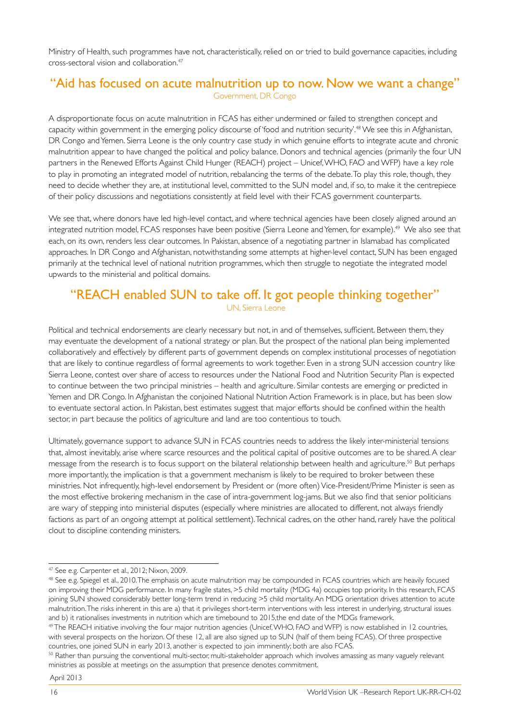Ministry of Health, such programmes have not, characteristically, relied on or tried to build governance capacities, including cross-sectoral vision and collaboration.47

#### "Aid has focused on acute malnutrition up to now. Now we want a change" Government, DR Congo

A disproportionate focus on acute malnutrition in FCAS has either undermined or failed to strengthen concept and capacity within government in the emerging policy discourse of 'food and nutrition security'.48 We see this in Afghanistan, DR Congo and Yemen. Sierra Leone is the only country case study in which genuine efforts to integrate acute and chronic malnutrition appear to have changed the political and policy balance. Donors and technical agencies (primarily the four UN partners in the Renewed Efforts Against Child Hunger (REACH) project – Unicef, WHO, FAO and WFP) have a key role to play in promoting an integrated model of nutrition, rebalancing the terms of the debate. To play this role, though, they need to decide whether they are, at institutional level, committed to the SUN model and, if so, to make it the centrepiece of their policy discussions and negotiations consistently at field level with their FCAS government counterparts.

We see that, where donors have led high-level contact, and where technical agencies have been closely aligned around an integrated nutrition model, FCAS responses have been positive (Sierra Leone and Yemen, for example).<sup>49</sup> We also see that each, on its own, renders less clear outcomes. In Pakistan, absence of a negotiating partner in Islamabad has complicated approaches. In DR Congo and Afghanistan, notwithstanding some attempts at higher-level contact, SUN has been engaged primarily at the technical level of national nutrition programmes, which then struggle to negotiate the integrated model upwards to the ministerial and political domains.

#### "REACH enabled SUN to take off. It got people thinking together" UN, Sierra Leone

Political and technical endorsements are clearly necessary but not, in and of themselves, sufficient. Between them, they may eventuate the development of a national strategy or plan. But the prospect of the national plan being implemented collaboratively and effectively by different parts of government depends on complex institutional processes of negotiation that are likely to continue regardless of formal agreements to work together. Even in a strong SUN accession country like Sierra Leone, contest over share of access to resources under the National Food and Nutrition Security Plan is expected to continue between the two principal ministries – health and agriculture. Similar contests are emerging or predicted in Yemen and DR Congo. In Afghanistan the conjoined National Nutrition Action Framework is in place, but has been slow to eventuate sectoral action. In Pakistan, best estimates suggest that major efforts should be confined within the health sector, in part because the politics of agriculture and land are too contentious to touch.

Ultimately, governance support to advance SUN in FCAS countries needs to address the likely inter-ministerial tensions that, almost inevitably, arise where scarce resources and the political capital of positive outcomes are to be shared. A clear message from the research is to focus support on the bilateral relationship between health and agriculture.<sup>50</sup> But perhaps more importantly, the implication is that a government mechanism is likely to be required to broker between these ministries. Not infrequently, high-level endorsement by President or (more often) Vice-President/Prime Minister is seen as the most effective brokering mechanism in the case of intra-government log-jams. But we also find that senior politicians are wary of stepping into ministerial disputes (especially where ministries are allocated to different, not always friendly factions as part of an ongoing attempt at political settlement). Technical cadres, on the other hand, rarely have the political clout to discipline contending ministers.

<sup>47</sup> See e.g. Carpenter et al., 2012; Nixon, 2009.

<sup>&</sup>lt;sup>48</sup> See e.g. Spiegel et al., 2010. The emphasis on acute malnutrition may be compounded in FCAS countries which are heavily focused on improving their MDG performance. In many fragile states, >5 child mortality (MDG 4a) occupies top priority. In this research, FCAS joining SUN showed considerably better long-term trend in reducing >5 child mortality. An MDG orientation drives attention to acute malnutrition. The risks inherent in this are a) that it privileges short-term interventions with less interest in underlying, structural issues and b) it rationalises investments in nutrition which are timebound to 2015,the end date of the MDGs framework.

<sup>&</sup>lt;sup>49</sup> The REACH initiative involving the four major nutrition agencies (Unicef, WHO, FAO and WFP) is now established in 12 countries, with several prospects on the horizon. Of these 12, all are also signed up to SUN (half of them being FCAS). Of three prospective countries, one joined SUN in early 2013, another is expected to join imminently; both are also FCAS.

<sup>&</sup>lt;sup>50</sup> Rather than pursuing the conventional multi-sector, multi-stakeholder approach which involves amassing as many vaguely relevant ministries as possible at meetings on the assumption that presence denotes commitment.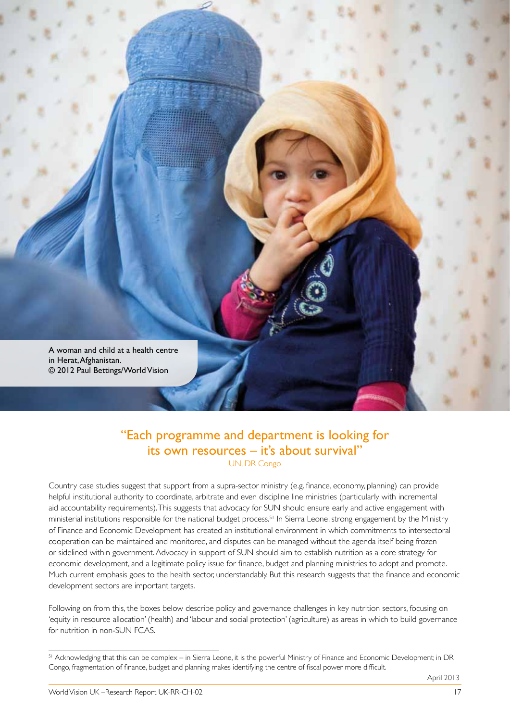

#### "Each programme and department is looking for its own resources – it's about survival" UN, DR Congo

Country case studies suggest that support from a supra-sector ministry (e.g. finance, economy, planning) can provide helpful institutional authority to coordinate, arbitrate and even discipline line ministries (particularly with incremental aid accountability requirements). This suggests that advocacy for SUN should ensure early and active engagement with ministerial institutions responsible for the national budget process.<sup>51</sup> In Sierra Leone, strong engagement by the Ministry of Finance and Economic Development has created an institutional environment in which commitments to intersectoral cooperation can be maintained and monitored, and disputes can be managed without the agenda itself being frozen or sidelined within government. Advocacy in support of SUN should aim to establish nutrition as a core strategy for economic development, and a legitimate policy issue for finance, budget and planning ministries to adopt and promote. Much current emphasis goes to the health sector, understandably. But this research suggests that the finance and economic development sectors are important targets.

Following on from this, the boxes below describe policy and governance challenges in key nutrition sectors, focusing on 'equity in resource allocation' (health) and 'labour and social protection' (agriculture) as areas in which to build governance for nutrition in non-SUN FCAS.

<sup>&</sup>lt;sup>51</sup> Acknowledging that this can be complex – in Sierra Leone, it is the powerful Ministry of Finance and Economic Development; in DR Congo, fragmentation of finance, budget and planning makes identifying the centre of fiscal power more difficult.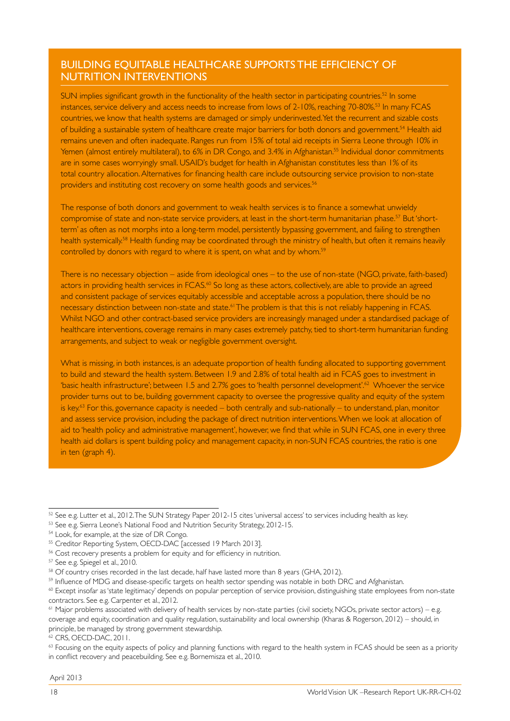#### BUILDING EQUITABLE HEALTHCARE SUPPORTS THE EFFICIENCY OF NUTRITION INTERVENTIONS

SUN implies significant growth in the functionality of the health sector in participating countries.<sup>52</sup> In some instances, service delivery and access needs to increase from lows of 2-10%, reaching 70-80%.53 In many FCAS countries, we know that health systems are damaged or simply underinvested. Yet the recurrent and sizable costs of building a sustainable system of healthcare create major barriers for both donors and government.<sup>54</sup> Health aid remains uneven and often inadequate. Ranges run from 15% of total aid receipts in Sierra Leone through 10% in Yemen (almost entirely multilateral), to 6% in DR Congo, and 3.4% in Afghanistan.<sup>55</sup> Individual donor commitments are in some cases worryingly small. USAID's budget for health in Afghanistan constitutes less than 1% of its total country allocation. Alternatives for financing health care include outsourcing service provision to non-state providers and instituting cost recovery on some health goods and services.<sup>56</sup>

The response of both donors and government to weak health services is to finance a somewhat unwieldy compromise of state and non-state service providers, at least in the short-term humanitarian phase.<sup>57</sup> But 'shortterm' as often as not morphs into a long-term model, persistently bypassing government, and failing to strengthen health systemically.<sup>58</sup> Health funding may be coordinated through the ministry of health, but often it remains heavily controlled by donors with regard to where it is spent, on what and by whom.59

There is no necessary objection – aside from ideological ones – to the use of non-state (NGO, private, faith-based) actors in providing health services in FCAS.<sup>60</sup> So long as these actors, collectively, are able to provide an agreed and consistent package of services equitably accessible and acceptable across a population, there should be no necessary distinction between non-state and state.<sup>61</sup> The problem is that this is not reliably happening in FCAS. Whilst NGO and other contract-based service providers are increasingly managed under a standardised package of healthcare interventions, coverage remains in many cases extremely patchy, tied to short-term humanitarian funding arrangements, and subject to weak or negligible government oversight.

What is missing, in both instances, is an adequate proportion of health funding allocated to supporting government to build and steward the health system. Between 1.9 and 2.8% of total health aid in FCAS goes to investment in 'basic health infrastructure'; between 1.5 and 2.7% goes to 'health personnel development'.62 Whoever the service provider turns out to be, building government capacity to oversee the progressive quality and equity of the system is key.<sup>63</sup> For this, governance capacity is needed – both centrally and sub-nationally – to understand, plan, monitor and assess service provision, including the package of direct nutrition interventions. When we look at allocation of aid to 'health policy and administrative management', however, we find that while in SUN FCAS, one in every three health aid dollars is spent building policy and management capacity, in non-SUN FCAS countries, the ratio is one in ten (graph 4).

<sup>52</sup> See e.g. Lutter et al., 2012. The SUN Strategy Paper 2012-15 cites 'universal access' to services including health as key.

<sup>&</sup>lt;sup>53</sup> See e.g. Sierra Leone's National Food and Nutrition Security Strategy, 2012-15.

<sup>54</sup> Look, for example, at the size of DR Congo.

<sup>55</sup> Creditor Reporting System, OECD-DAC [accessed 19 March 2013].

<sup>&</sup>lt;sup>56</sup> Cost recovery presents a problem for equity and for efficiency in nutrition.

<sup>57</sup> See e.g. Spiegel et al., 2010.

<sup>&</sup>lt;sup>58</sup> Of country crises recorded in the last decade, half have lasted more than 8 years (GHA, 2012).

<sup>59</sup> Influence of MDG and disease-specific targets on health sector spending was notable in both DRC and Afghanistan.

<sup>&</sup>lt;sup>60</sup> Except insofar as 'state legitimacy' depends on popular perception of service provision, distinguishing state employees from non-state contractors. See e.g. Carpenter et al., 2012.

 $61$  Major problems associated with delivery of health services by non-state parties (civil society, NGOs, private sector actors) – e.g. coverage and equity, coordination and quality regulation, sustainability and local ownership (Kharas & Rogerson, 2012) – should, in principle, be managed by strong government stewardship.

<sup>62</sup> CRS, OECD-DAC, 2011.

<sup>&</sup>lt;sup>63</sup> Focusing on the equity aspects of policy and planning functions with regard to the health system in FCAS should be seen as a priority in conflict recovery and peacebuilding. See e.g. Bornemisza et al., 2010.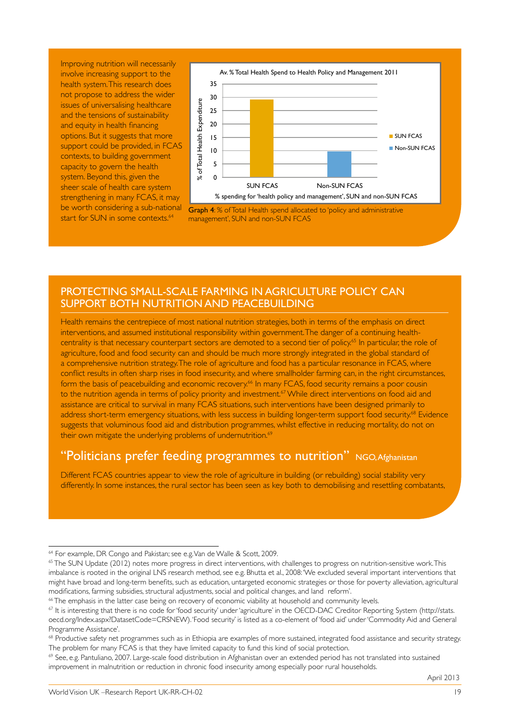Improving nutrition will necessarily involve increasing support to the health system. This research does not propose to address the wider issues of universalising healthcare and the tensions of sustainability and equity in health financing options. But it suggests that more support could be provided, in FCAS contexts, to building government capacity to govern the health system. Beyond this, given the sheer scale of health care system strengthening in many FCAS, it may be worth considering a sub-national start for SUN in some contexts.<sup>64</sup>



Graph 4: % of Total Health spend allocated to 'policy and administrative management', SUN and non-SUN FCAS

#### PROTECTING SMALL-SCALE FARMING IN AGRICULTURE POLICY CAN SUPPORT BOTH NUTRITION AND PEACEBUILDING

Health remains the centrepiece of most national nutrition strategies, both in terms of the emphasis on direct interventions, and assumed institutional responsibility within government. The danger of a continuing healthcentrality is that necessary counterpart sectors are demoted to a second tier of policy.<sup>65</sup> In particular, the role of agriculture, food and food security can and should be much more strongly integrated in the global standard of a comprehensive nutrition strategy. The role of agriculture and food has a particular resonance in FCAS, where conflict results in often sharp rises in food insecurity, and where smallholder farming can, in the right circumstances, form the basis of peacebuilding and economic recovery.<sup>66</sup> In many FCAS, food security remains a poor cousin to the nutrition agenda in terms of policy priority and investment.<sup>67</sup> While direct interventions on food aid and assistance are critical to survival in many FCAS situations, such interventions have been designed primarily to address short-term emergency situations, with less success in building longer-term support food security.<sup>68</sup> Evidence suggests that voluminous food aid and distribution programmes, whilst effective in reducing mortality, do not on their own mitigate the underlying problems of undernutrition.<sup>69</sup>

#### "Politicians prefer feeding programmes to nutrition" NGO, Afghanistan

Different FCAS countries appear to view the role of agriculture in building (or rebuilding) social stability very differently. In some instances, the rural sector has been seen as key both to demobilising and resettling combatants,

April 2013

<sup>64</sup> For example, DR Congo and Pakistan; see e.g. Van de Walle & Scott, 2009.

<sup>&</sup>lt;sup>65</sup> The SUN Update (2012) notes more progress in direct interventions, with challenges to progress on nutrition-sensitive work. This imbalance is rooted in the original LNS research method, see e.g. Bhutta et al., 2008: 'We excluded several important interventions that might have broad and long-term benefits, such as education, untargeted economic strategies or those for poverty alleviation, agricultural modifications, farming subsidies, structural adjustments, social and political changes, and land reform'.

<sup>&</sup>lt;sup>66</sup> The emphasis in the latter case being on recovery of economic viability at household and community levels.

 $67$  It is interesting that there is no code for 'food security' under 'agriculture' in the OECD-DAC Creditor Reporting System (http://stats. oecd.org/Index.aspx?DatasetCode=CRSNEW). 'Food security' is listed as a co-element of 'food aid' under 'Commodity Aid and General Programme Assistance'.

<sup>&</sup>lt;sup>68</sup> Productive safety net programmes such as in Ethiopia are examples of more sustained, integrated food assistance and security strategy. The problem for many FCAS is that they have limited capacity to fund this kind of social protection.

<sup>69</sup> See, e.g. Pantuliano, 2007. Large-scale food distribution in Afghanistan over an extended period has not translated into sustained improvement in malnutrition or reduction in chronic food insecurity among especially poor rural households.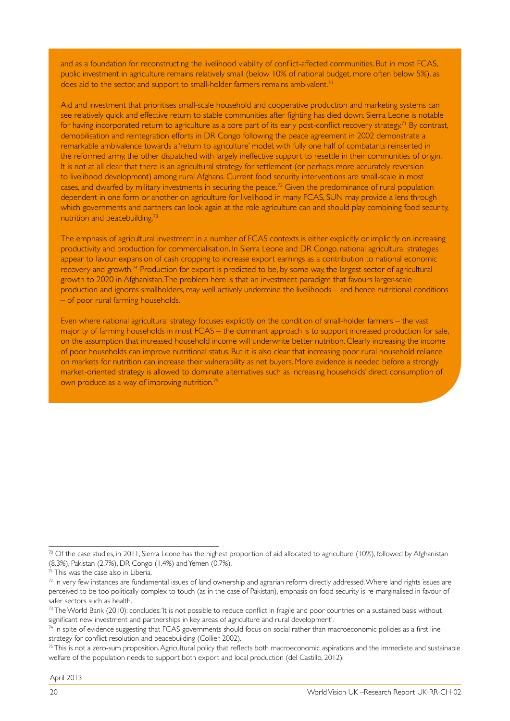and as a foundation for reconstructing the livelihood viability of conflict-affected communities. But in most FCAS, public investment in agriculture remains relatively small (below 10% of national budget, more often below 5%), as does aid to the sector, and support to small-holder farmers remains ambivalent.<sup>70</sup>

Aid and investment that prioritises small-scale household and cooperative production and marketing systems can see relatively quick and effective return to stable communities after fighting has died down. Sierra Leone is notable for having incorporated return to agriculture as a core part of its early post-conflict recovery strategy.<sup>71</sup> By contrast, demobilisation and reintegration efforts in DR Congo following the peace agreement in 2002 demonstrate a remarkable ambivalence towards a 'return to agriculture' model, with fully one half of combatants reinserted in the reformed army, the other dispatched with largely ineffective support to resettle in their communities of origin. It is not at all clear that there is an agricultural strategy for settlement (or perhaps more accurately reversion to livelihood development) among rural Afghans. Current food security interventions are small-scale in most cases, and dwarfed by military investments in securing the peace.72 Given the predominance of rural population dependent in one form or another on agriculture for livelihood in many FCAS, SUN may provide a lens through which governments and partners can look again at the role agriculture can and should play combining food security, nutrition and peacebuilding.<sup>73</sup>

The emphasis of agricultural investment in a number of FCAS contexts is either explicitly or implicitly on increasing productivity and production for commercialisation. In Sierra Leone and DR Congo, national agricultural strategies appear to favour expansion of cash cropping to increase export earnings as a contribution to national economic recovery and growth.74 Production for export is predicted to be, by some way, the largest sector of agricultural growth to 2020 in Afghanistan. The problem here is that an investment paradigm that favours larger-scale production and ignores smallholders, may well actively undermine the livelihoods – and hence nutritional conditions – of poor rural farming households.

Even where national agricultural strategy focuses explicitly on the condition of small-holder farmers – the vast majority of farming households in most FCAS – the dominant approach is to support increased production for sale, on the assumption that increased household income will underwrite better nutrition. Clearly increasing the income of poor households can improve nutritional status. But it is also clear that increasing poor rural household reliance on markets for nutrition can increase their vulnerability as net buyers. More evidence is needed before a strongly market-oriented strategy is allowed to dominate alternatives such as increasing households' direct consumption of own produce as a way of improving nutrition.<sup>75</sup>

<sup>70</sup> Of the case studies, in 2011, Sierra Leone has the highest proportion of aid allocated to agriculture (10%), followed by Afghanistan (8.3%), Pakistan (2.7%), DR Congo (1.4%) and Yemen (0.7%).

<sup>&</sup>lt;sup>71</sup> This was the case also in Liberia.

 $72$  In very few instances are fundamental issues of land ownership and agrarian reform directly addressed. Where land rights issues are perceived to be too politically complex to touch (as in the case of Pakistan), emphasis on food security is re-marginalised in favour of safer sectors such as health.

 $73$  The World Bank (2010): concludes: 'It is not possible to reduce conflict in fragile and poor countries on a sustained basis without significant new investment and partnerships in key areas of agriculture and rural development'.

 $74$  In spite of evidence suggesting that FCAS governments should focus on social rather than macroeconomic policies as a first line strategy for conflict resolution and peacebuilding (Collier, 2002).

 $75$  This is not a zero-sum proposition. Agricultural policy that reflects both macroeconomic aspirations and the immediate and sustainable welfare of the population needs to support both export and local production (del Castillo, 2012).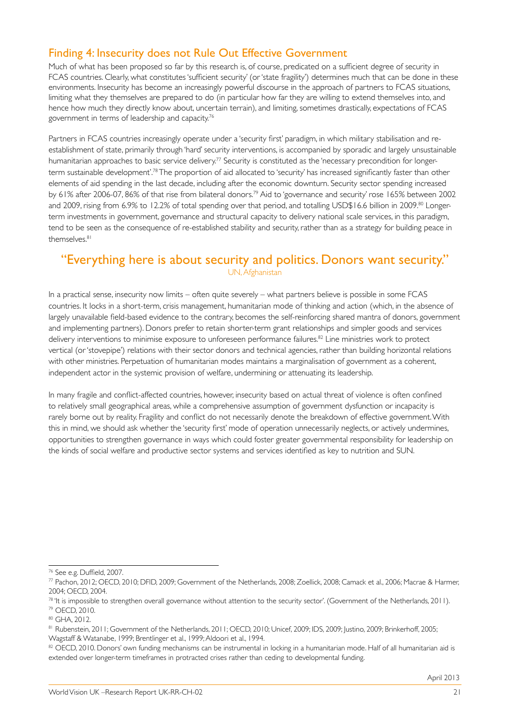### Finding 4: Insecurity does not Rule Out Effective Government

Much of what has been proposed so far by this research is, of course, predicated on a sufficient degree of security in FCAS countries. Clearly, what constitutes 'sufficient security' (or 'state fragility') determines much that can be done in these environments. Insecurity has become an increasingly powerful discourse in the approach of partners to FCAS situations, limiting what they themselves are prepared to do (in particular how far they are willing to extend themselves into, and hence how much they directly know about, uncertain terrain), and limiting, sometimes drastically, expectations of FCAS government in terms of leadership and capacity.76

Partners in FCAS countries increasingly operate under a 'security first' paradigm, in which military stabilisation and reestablishment of state, primarily through 'hard' security interventions, is accompanied by sporadic and largely unsustainable humanitarian approaches to basic service delivery.<sup>77</sup> Security is constituted as the 'necessary precondition for longerterm sustainable development'.78 The proportion of aid allocated to 'security' has increased significantly faster than other elements of aid spending in the last decade, including after the economic downturn. Security sector spending increased by 61% after 2006-07, 86% of that rise from bilateral donors.79 Aid to 'governance and security' rose 165% between 2002 and 2009, rising from 6.9% to 12.2% of total spending over that period, and totalling USD\$16.6 billion in 2009.<sup>80</sup> Longerterm investments in government, governance and structural capacity to delivery national scale services, in this paradigm, tend to be seen as the consequence of re-established stability and security, rather than as a strategy for building peace in themselves.<sup>81</sup>

#### "Everything here is about security and politics. Donors want security." UN, Afghanistan

In a practical sense, insecurity now limits – often quite severely – what partners believe is possible in some FCAS countries. It locks in a short-term, crisis management, humanitarian mode of thinking and action (which, in the absence of largely unavailable field-based evidence to the contrary, becomes the self-reinforcing shared mantra of donors, government and implementing partners). Donors prefer to retain shorter-term grant relationships and simpler goods and services delivery interventions to minimise exposure to unforeseen performance failures.<sup>82</sup> Line ministries work to protect vertical (or 'stovepipe') relations with their sector donors and technical agencies, rather than building horizontal relations with other ministries. Perpetuation of humanitarian modes maintains a marginalisation of government as a coherent, independent actor in the systemic provision of welfare, undermining or attenuating its leadership.

In many fragile and conflict-affected countries, however, insecurity based on actual threat of violence is often confined to relatively small geographical areas, while a comprehensive assumption of government dysfunction or incapacity is rarely borne out by reality. Fragility and conflict do not necessarily denote the breakdown of effective government. With this in mind, we should ask whether the 'security first' mode of operation unnecessarily neglects, or actively undermines, opportunities to strengthen governance in ways which could foster greater governmental responsibility for leadership on the kinds of social welfare and productive sector systems and services identified as key to nutrition and SUN.

<sup>76</sup> See e.g. Duffield, 2007.

 $77$  Pachon, 2012; OECD, 2010; DFID, 2009; Government of the Netherlands, 2008; Zoellick, 2008; Camack et al., 2006; Macrae & Harmer, 2004; OECD, 2004.

 $78$  'It is impossible to strengthen overall governance without attention to the security sector'. (Government of the Netherlands, 2011). 79 OECD, 2010.

<sup>80</sup> GHA, 2012.

<sup>81</sup> Rubenstein, 2011; Government of the Netherlands, 2011; OECD, 2010; Unicef, 2009; IDS, 2009; Justino, 2009; Brinkerhoff, 2005; Wagstaff & Watanabe, 1999; Brentlinger et al., 1999; Aldoori et al., 1994.

<sup>82</sup> OECD, 2010. Donors' own funding mechanisms can be instrumental in locking in a humanitarian mode. Half of all humanitarian aid is extended over longer-term timeframes in protracted crises rather than ceding to developmental funding.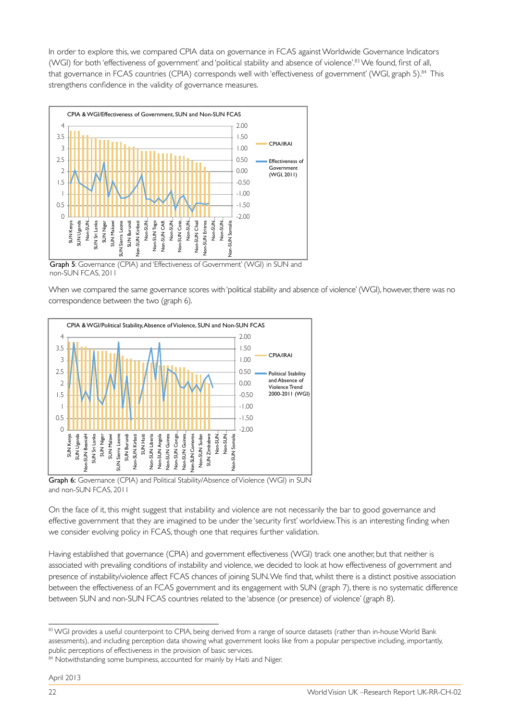In order to explore this, we compared CPIA data on governance in FCAS against Worldwide Governance Indicators (WGI) for both 'effectiveness of government' and 'political stability and absence of violence'.83 We found, first of all, that governance in FCAS countries (CPIA) corresponds well with 'effectiveness of government' (WGI, graph 5).<sup>84</sup> This strengthens confidence in the validity of governance measures.



Graph 5: Governance (CPIA) and 'Effectiveness of Government' (WGI) in SUN and non-SUN FCAS, 2011

When we compared the same governance scores with 'political stability and absence of violence' (WGI), however, there was no correspondence between the two (graph 6).



Graph 6: Governance (CPIA) and Political Stability/Absence of Violence (WGI) in SUN and non-SUN FCAS, 2011

On the face of it, this might suggest that instability and violence are not necessarily the bar to good governance and effective government that they are imagined to be under the 'security first' worldview. This is an interesting finding when we consider evolving policy in FCAS, though one that requires further validation.

Having established that governance (CPIA) and government effectiveness (WGI) track one another, but that neither is associated with prevailing conditions of instability and violence, we decided to look at how effectiveness of government and presence of instability/violence affect FCAS chances of joining SUN. We find that, whilst there is a distinct positive association between the effectiveness of an FCAS government and its engagement with SUN (graph 7), there is no systematic difference between SUN and non-SUN FCAS countries related to the 'absence (or presence) of violence' (graph 8).

<sup>83</sup> WGI provides a useful counterpoint to CPIA, being derived from a range of source datasets (rather than in-house World Bank assessments), and including perception data showing what government looks like from a popular perspective including, importantly, public perceptions of effectiveness in the provision of basic services.

<sup>&</sup>lt;sup>84</sup> Notwithstanding some bumpiness, accounted for mainly by Haiti and Niger.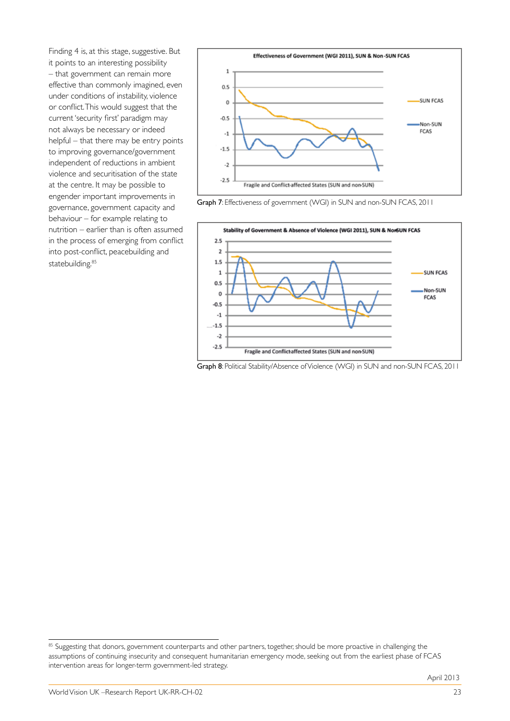Finding 4 is, at this stage, suggestive. But it points to an interesting possibility – that government can remain more effective than commonly imagined, even under conditions of instability, violence or conflict. This would suggest that the current 'security first' paradigm may not always be necessary or indeed helpful – that there may be entry points to improving governance/government independent of reductions in ambient violence and securitisation of the state at the centre. It may be possible to engender important improvements in governance, government capacity and behaviour – for example relating to nutrition – earlier than is often assumed in the process of emerging from conflict into post-conflict, peacebuilding and statebuilding.<sup>85</sup>







Graph 8: Political Stability/Absence of Violence (WGI) in SUN and non-SUN FCAS, 2011

<sup>&</sup>lt;sup>85</sup> Suggesting that donors, government counterparts and other partners, together, should be more proactive in challenging the assumptions of continuing insecurity and consequent humanitarian emergency mode, seeking out from the earliest phase of FCAS intervention areas for longer-term government-led strategy.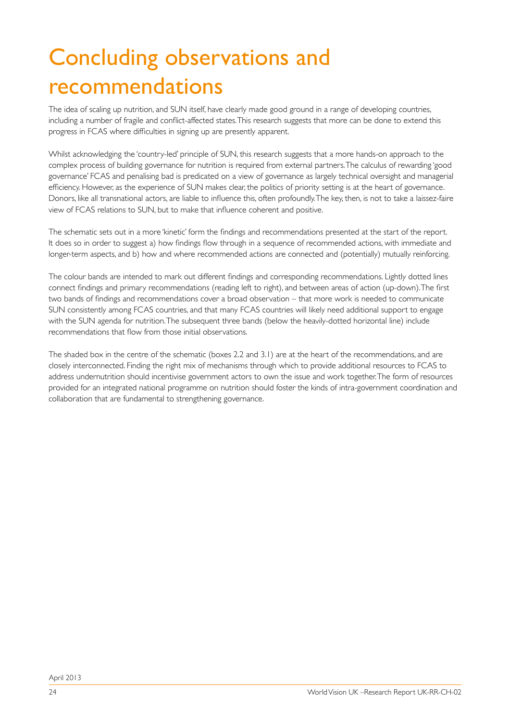## Concluding observations and recommendations

The idea of scaling up nutrition, and SUN itself, have clearly made good ground in a range of developing countries, including a number of fragile and conflict-affected states. This research suggests that more can be done to extend this progress in FCAS where difficulties in signing up are presently apparent.

Whilst acknowledging the 'country-led' principle of SUN, this research suggests that a more hands-on approach to the complex process of building governance for nutrition is required from external partners. The calculus of rewarding 'good governance' FCAS and penalising bad is predicated on a view of governance as largely technical oversight and managerial efficiency. However, as the experience of SUN makes clear, the politics of priority setting is at the heart of governance. Donors, like all transnational actors, are liable to influence this, often profoundly. The key, then, is not to take a laissez-faire view of FCAS relations to SUN, but to make that influence coherent and positive.

The schematic sets out in a more 'kinetic' form the findings and recommendations presented at the start of the report. It does so in order to suggest a) how findings flow through in a sequence of recommended actions, with immediate and longer-term aspects, and b) how and where recommended actions are connected and (potentially) mutually reinforcing.

The colour bands are intended to mark out different findings and corresponding recommendations. Lightly dotted lines connect findings and primary recommendations (reading left to right), and between areas of action (up-down). The first two bands of findings and recommendations cover a broad observation – that more work is needed to communicate SUN consistently among FCAS countries, and that many FCAS countries will likely need additional support to engage with the SUN agenda for nutrition. The subsequent three bands (below the heavily-dotted horizontal line) include recommendations that flow from those initial observations.

The shaded box in the centre of the schematic (boxes 2.2 and 3.1) are at the heart of the recommendations, and are closely interconnected. Finding the right mix of mechanisms through which to provide additional resources to FCAS to address undernutrition should incentivise government actors to own the issue and work together. The form of resources provided for an integrated national programme on nutrition should foster the kinds of intra-government coordination and collaboration that are fundamental to strengthening governance.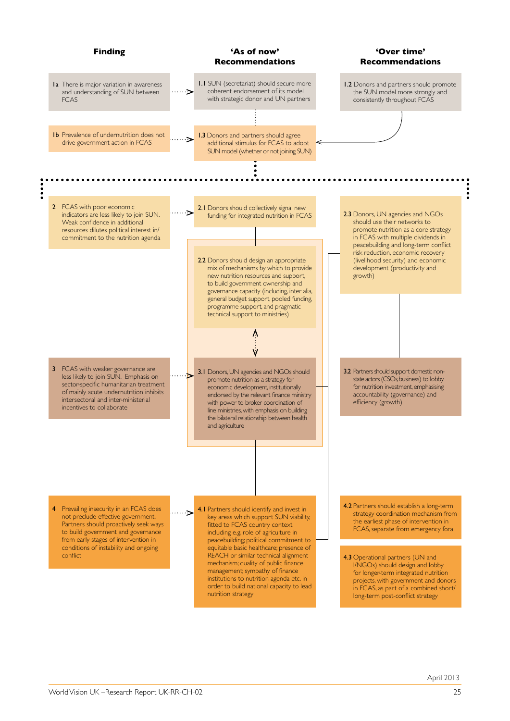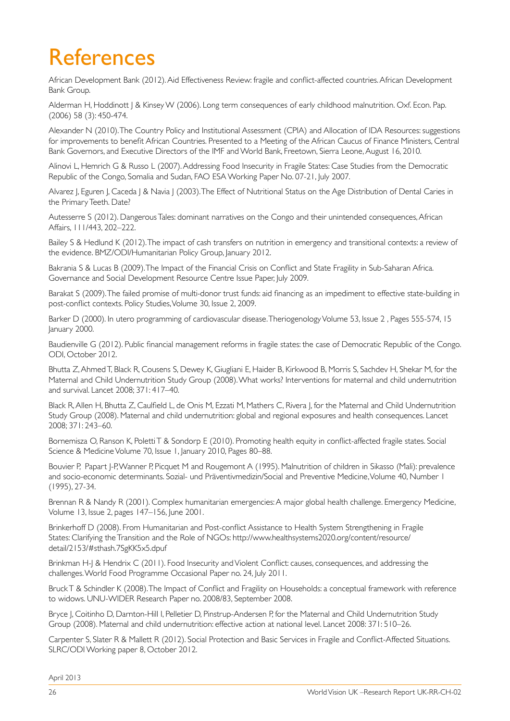## References

African Development Bank (2012). Aid Effectiveness Review: fragile and conflict-affected countries. African Development Bank Group.

Alderman H, Hoddinott J & Kinsey W (2006). Long term consequences of early childhood malnutrition. Oxf. Econ. Pap. (2006) 58 (3): 450-474.

Alexander N (2010). The Country Policy and Institutional Assessment (CPIA) and Allocation of IDA Resources: suggestions for improvements to benefit African Countries. Presented to a Meeting of the African Caucus of Finance Ministers, Central Bank Governors, and Executive Directors of the IMF and World Bank, Freetown, Sierra Leone, August 16, 2010.

Alinovi L, Hemrich G & Russo L (2007). Addressing Food Insecurity in Fragile States: Case Studies from the Democratic Republic of the Congo, Somalia and Sudan, FAO ESA Working Paper No. 07-21, July 2007.

Alvarez J, Eguren J, Caceda J & Navia J (2003). The Effect of Nutritional Status on the Age Distribution of Dental Caries in the Primary Teeth. Date?

Autesserre S (2012). Dangerous Tales: dominant narratives on the Congo and their unintended consequences, African Affairs, 111/443, 202–222.

Bailey S & Hedlund K (2012). The impact of cash transfers on nutrition in emergency and transitional contexts: a review of the evidence. BMZ/ODI/Humanitarian Policy Group, January 2012.

Bakrania S & Lucas B (2009). The Impact of the Financial Crisis on Conflict and State Fragility in Sub-Saharan Africa. Governance and Social Development Resource Centre Issue Paper, July 2009.

Barakat S (2009). The failed promise of multi-donor trust funds: aid financing as an impediment to effective state-building in post-conflict contexts. Policy Studies, Volume 30, Issue 2, 2009.

Barker D (2000). In utero programming of cardiovascular disease. Theriogenology Volume 53, Issue 2 , Pages 555-574, 15 January 2000.

Baudienville G (2012). Public financial management reforms in fragile states: the case of Democratic Republic of the Congo. ODI, October 2012.

Bhutta Z, Ahmed T, Black R, Cousens S, Dewey K, Giugliani E, Haider B, Kirkwood B, Morris S, Sachdev H, Shekar M, for the Maternal and Child Undernutrition Study Group (2008). What works? Interventions for maternal and child undernutrition and survival. Lancet 2008; 371: 417–40.

Black R, Allen H, Bhutta Z, Caulfield L, de Onis M, Ezzati M, Mathers C, Rivera J, for the Maternal and Child Undernutrition Study Group (2008). Maternal and child undernutrition: global and regional exposures and health consequences. Lancet 2008; 371: 243–60.

Bornemisza O, Ranson K, Poletti T & Sondorp E (2010). Promoting health equity in conflict-affected fragile states. Social Science & Medicine Volume 70, Issue 1, January 2010, Pages 80–88.

Bouvier P, Papart J-P, Wanner P, Picquet M and Rougemont A (1995). Malnutrition of children in Sikasso (Mali): prevalence and socio-economic determinants. Sozial- und Präventivmedizin/Social and Preventive Medicine, Volume 40, Number 1 (1995), 27-34.

Brennan R & Nandy R (2001). Complex humanitarian emergencies: A major global health challenge. Emergency Medicine, Volume 13, Issue 2, pages 147–156, June 2001.

Brinkerhoff D (2008). From Humanitarian and Post-conflict Assistance to Health System Strengthening in Fragile States: Clarifying the Transition and the Role of NGOs: http://www.healthsystems2020.org/content/resource/ detail/2153/#sthash.7SgKK5x5.dpuf

Brinkman H-J & Hendrix C (2011). Food Insecurity and Violent Conflict: causes, consequences, and addressing the challenges. World Food Programme Occasional Paper no. 24, July 2011.

Bruck T & Schindler K (2008). The Impact of Conflict and Fragility on Households: a conceptual framework with reference to widows. UNU-WIDER Research Paper no. 2008/83, September 2008.

Bryce J, Coitinho D, Darnton-Hill I, Pelletier D, Pinstrup-Andersen P, for the Maternal and Child Undernutrition Study Group (2008). Maternal and child undernutrition: effective action at national level. Lancet 2008: 371: 510–26.

Carpenter S, Slater R & Mallett R (2012). Social Protection and Basic Services in Fragile and Conflict-Affected Situations. SLRC/ODI Working paper 8, October 2012.

April 2013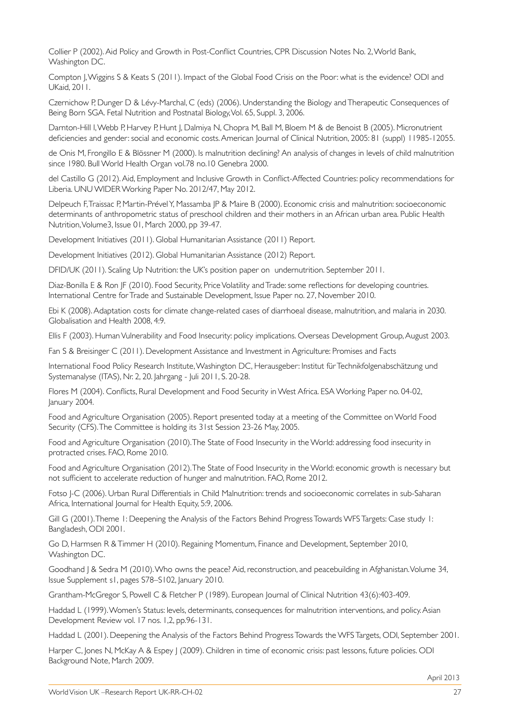Collier P (2002). Aid Policy and Growth in Post-Conflict Countries, CPR Discussion Notes No. 2, World Bank, Washington DC.

Compton J, Wiggins S & Keats S (2011). Impact of the Global Food Crisis on the Poor: what is the evidence? ODI and UKaid, 2011.

Czernichow P, Dunger D & Lévy-Marchal, C (eds) (2006). Understanding the Biology and Therapeutic Consequences of Being Born SGA. Fetal Nutrition and Postnatal Biology, Vol. 65, Suppl. 3, 2006.

Darnton-Hill I, Webb P, Harvey P, Hunt J, Dalmiya N, Chopra M, Ball M, Bloem M & de Benoist B (2005). Micronutrient deficiencies and gender: social and economic costs. American Journal of Clinical Nutrition, 2005: 81 (suppl) 11985-12055.

de Onis M, Frongillo E & Blössner M (2000). Is malnutrition declining? An analysis of changes in levels of child malnutrition since 1980. Bull World Health Organ vol.78 no.10 Genebra 2000.

del Castillo G (2012). Aid, Employment and Inclusive Growth in Conflict-Affected Countries: policy recommendations for Liberia. UNU WIDER Working Paper No. 2012/47, May 2012.

Delpeuch F, Traissac P, Martin-Prével Y, Massamba JP & Maire B (2000). Economic crisis and malnutrition: socioeconomic determinants of anthropometric status of preschool children and their mothers in an African urban area. Public Health Nutrition, Volume3, Issue 01, March 2000, pp 39-47.

Development Initiatives (2011). Global Humanitarian Assistance (2011) Report.

Development Initiatives (2012). Global Humanitarian Assistance (2012) Report.

DFID/UK (2011). Scaling Up Nutrition: the UK's position paper on undernutrition. September 2011.

Diaz-Bonilla E & Ron JF (2010). Food Security, Price Volatility and Trade: some reflections for developing countries. International Centre for Trade and Sustainable Development, Issue Paper no. 27, November 2010.

Ebi K (2008). Adaptation costs for climate change-related cases of diarrhoeal disease, malnutrition, and malaria in 2030. Globalisation and Health 2008, 4:9.

Ellis F (2003). Human Vulnerability and Food Insecurity: policy implications. Overseas Development Group, August 2003.

Fan S & Breisinger C (2011). Development Assistance and Investment in Agriculture: Promises and Facts

International Food Policy Research Institute, Washington DC, Herausgeber: Institut für Technikfolgenabschätzung und Systemanalyse (ITAS), Nr. 2, 20. Jahrgang - Juli 2011, S. 20-28.

Flores M (2004). Conflicts, Rural Development and Food Security in West Africa. ESA Working Paper no. 04-02, January 2004.

Food and Agriculture Organisation (2005). Report presented today at a meeting of the Committee on World Food Security (CFS). The Committee is holding its 31st Session 23-26 May, 2005.

Food and Agriculture Organisation (2010). The State of Food Insecurity in the World: addressing food insecurity in protracted crises. FAO, Rome 2010.

Food and Agriculture Organisation (2012). The State of Food Insecurity in the World: economic growth is necessary but not sufficient to accelerate reduction of hunger and malnutrition. FAO, Rome 2012.

Fotso J-C (2006). Urban Rural Differentials in Child Malnutrition: trends and socioeconomic correlates in sub-Saharan Africa, International Journal for Health Equity, 5:9, 2006.

Gill G (2001). Theme 1: Deepening the Analysis of the Factors Behind Progress Towards WFS Targets: Case study 1: Bangladesh, ODI 2001.

Go D, Harmsen R & Timmer H (2010). Regaining Momentum, Finance and Development, September 2010, Washington DC.

Goodhand | & Sedra M (2010). Who owns the peace? Aid, reconstruction, and peacebuilding in Afghanistan. Volume 34, Issue Supplement s1, pages S78–S102, January 2010.

Grantham-McGregor S, Powell C & Fletcher P (1989). European Journal of Clinical Nutrition 43(6):403-409.

Haddad L (1999). Women's Status: levels, determinants, consequences for malnutrition interventions, and policy. Asian Development Review vol. 17 nos. 1,2, pp.96-131.

Haddad L (2001). Deepening the Analysis of the Factors Behind Progress Towards the WFS Targets, ODI, September 2001.

Harper C, Jones N, McKay A & Espey J (2009). Children in time of economic crisis: past lessons, future policies. ODI Background Note, March 2009.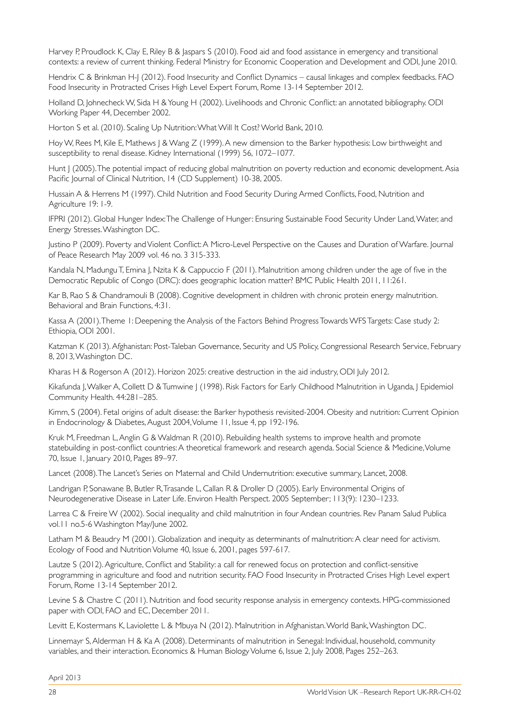Harvey P, Proudlock K, Clay E, Riley B & Jaspars S (2010). Food aid and food assistance in emergency and transitional contexts: a review of current thinking. Federal Ministry for Economic Cooperation and Development and ODI, June 2010.

Hendrix C & Brinkman H-J (2012). Food Insecurity and Conflict Dynamics – causal linkages and complex feedbacks. FAO Food Insecurity in Protracted Crises High Level Expert Forum, Rome 13-14 September 2012.

Holland D, Johnecheck W, Sida H & Young H (2002). Livelihoods and Chronic Conflict: an annotated bibliography. ODI Working Paper 44, December 2002.

Horton S et al. (2010). Scaling Up Nutrition: What Will It Cost? World Bank, 2010.

Hoy W, Rees M, Kile E, Mathews | & Wang Z (1999). A new dimension to the Barker hypothesis: Low birthweight and susceptibility to renal disease. Kidney International (1999) 56, 1072–1077.

Hunt J (2005). The potential impact of reducing global malnutrition on poverty reduction and economic development. Asia Pacific Journal of Clinical Nutrition, 14 (CD Supplement) 10-38, 2005.

Hussain A & Herrens M (1997). Child Nutrition and Food Security During Armed Conflicts, Food, Nutrition and Agriculture 19: 1-9.

IFPRI (2012). Global Hunger Index: The Challenge of Hunger: Ensuring Sustainable Food Security Under Land, Water, and Energy Stresses. Washington DC.

Justino P (2009). Poverty and Violent Conflict: A Micro-Level Perspective on the Causes and Duration of Warfare. Journal of Peace Research May 2009 vol. 46 no. 3 315-333.

Kandala N, Madungu T, Emina J, Nzita K & Cappuccio F (2011). Malnutrition among children under the age of five in the Democratic Republic of Congo (DRC): does geographic location matter? BMC Public Health 2011, 11:261.

Kar B, Rao S & Chandramouli B (2008). Cognitive development in children with chronic protein energy malnutrition. Behavioral and Brain Functions, 4:31.

Kassa A (2001). Theme 1: Deepening the Analysis of the Factors Behind Progress Towards WFS Targets: Case study 2: Ethiopia, ODI 2001.

Katzman K (2013). Afghanistan: Post-Taleban Governance, Security and US Policy, Congressional Research Service, February 8, 2013, Washington DC.

Kharas H & Rogerson A (2012). Horizon 2025: creative destruction in the aid industry, ODI July 2012.

Kikafunda J, Walker A, Collett D & Tumwine J (1998). Risk Factors for Early Childhood Malnutrition in Uganda, J Epidemiol Community Health. 44:281–285.

Kimm, S (2004). Fetal origins of adult disease: the Barker hypothesis revisited-2004. Obesity and nutrition: Current Opinion in Endocrinology & Diabetes, August 2004, Volume 11, Issue 4, pp 192-196.

Kruk M, Freedman L, Anglin G & Waldman R (2010). Rebuilding health systems to improve health and promote statebuilding in post-conflict countries: A theoretical framework and research agenda. Social Science & Medicine, Volume 70, Issue 1, January 2010, Pages 89–97.

Lancet (2008). The Lancet's Series on Maternal and Child Undernutrition: executive summary, Lancet, 2008.

Landrigan P, Sonawane B, Butler R, Trasande L, Callan R & Droller D (2005). Early Environmental Origins of Neurodegenerative Disease in Later Life. Environ Health Perspect. 2005 September; 113(9): 1230–1233.

Larrea C & Freire W (2002). Social inequality and child malnutrition in four Andean countries. Rev Panam Salud Publica vol.11 no.5-6 Washington May/June 2002.

Latham M & Beaudry M (2001). Globalization and inequity as determinants of malnutrition: A clear need for activism. Ecology of Food and Nutrition Volume 40, Issue 6, 2001, pages 597-617.

Lautze S (2012). Agriculture, Conflict and Stability: a call for renewed focus on protection and conflict-sensitive programming in agriculture and food and nutrition security. FAO Food Insecurity in Protracted Crises High Level expert Forum, Rome 13-14 September 2012.

Levine S & Chastre C (2011). Nutrition and food security response analysis in emergency contexts. HPG-commissioned paper with ODI, FAO and EC, December 2011.

Levitt E, Kostermans K, Laviolette L & Mbuya N (2012). Malnutrition in Afghanistan. World Bank, Washington DC.

Linnemayr S, Alderman H & Ka A (2008). Determinants of malnutrition in Senegal: Individual, household, community variables, and their interaction. Economics & Human Biology Volume 6, Issue 2, July 2008, Pages 252–263.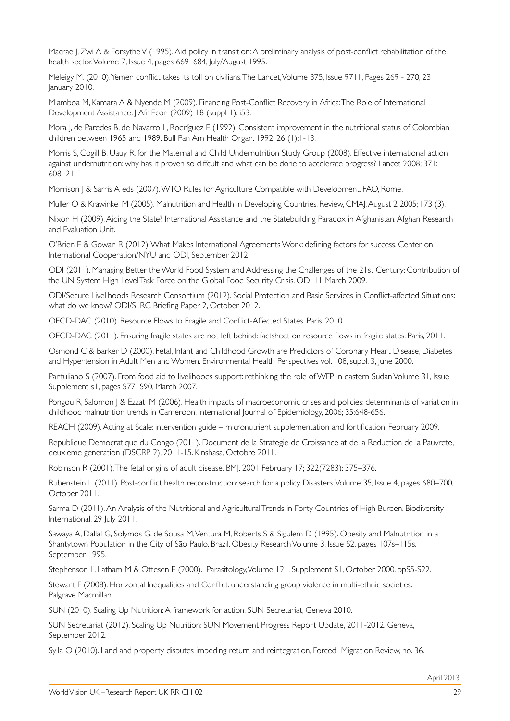Macrae J, Zwi A & Forsythe V (1995). Aid policy in transition: A preliminary analysis of post-conflict rehabilitation of the health sector, Volume 7, Issue 4, pages 669–684, July/August 1995.

Meleigy M. (2010). Yemen conflict takes its toll on civilians. The Lancet, Volume 375, Issue 9711, Pages 269 - 270, 23 January 2010.

Mlamboa M, Kamara A & Nyende M (2009). Financing Post-Conflict Recovery in Africa: The Role of International Development Assistance. J Afr Econ (2009) 18 (suppl 1): i53.

Mora J, de Paredes B, de Navarro L, Rodríguez E (1992). Consistent improvement in the nutritional status of Colombian children between 1965 and 1989. Bull Pan Am Health Organ. 1992; 26 (1):1-13.

Morris S, Cogill B, Uauy R, for the Maternal and Child Undernutrition Study Group (2008). Effective international action against undernutrition: why has it proven so diffcult and what can be done to accelerate progress? Lancet 2008; 371: 608–21.

Morrison J & Sarris A eds (2007). WTO Rules for Agriculture Compatible with Development. FAO, Rome.

Muller O & Krawinkel M (2005). Malnutrition and Health in Developing Countries. Review, CMAJ, August 2 2005; 173 (3).

Nixon H (2009). Aiding the State? International Assistance and the Statebuilding Paradox in Afghanistan. Afghan Research and Evaluation Unit.

O'Brien E & Gowan R (2012). What Makes International Agreements Work: defining factors for success. Center on International Cooperation/NYU and ODI, September 2012.

ODI (2011). Managing Better the World Food System and Addressing the Challenges of the 21st Century: Contribution of the UN System High Level Task Force on the Global Food Security Crisis. ODI 11 March 2009.

ODI/Secure Livelihoods Research Consortium (2012). Social Protection and Basic Services in Conflict-affected Situations: what do we know? ODI/SLRC Briefing Paper 2, October 2012.

OECD-DAC (2010). Resource Flows to Fragile and Conflict-Affected States. Paris, 2010.

OECD-DAC (2011). Ensuring fragile states are not left behind: factsheet on resource flows in fragile states. Paris, 2011.

Osmond C & Barker D (2000). Fetal, Infant and Childhood Growth are Predictors of Coronary Heart Disease, Diabetes and Hypertension in Adult Men and Women. Environmental Health Perspectives vol. 108, suppl. 3, June 2000.

Pantuliano S (2007). From food aid to livelihoods support: rethinking the role of WFP in eastern Sudan Volume 31, Issue Supplement s1, pages S77–S90, March 2007.

Pongou R, Salomon | & Ezzati M (2006). Health impacts of macroeconomic crises and policies: determinants of variation in childhood malnutrition trends in Cameroon. International Journal of Epidemiology, 2006; 35:648-656.

REACH (2009). Acting at Scale: intervention guide – micronutrient supplementation and fortification, February 2009.

Republique Democratique du Congo (2011). Document de la Strategie de Croissance at de la Reduction de la Pauvrete, deuxieme generation (DSCRP 2), 2011-15. Kinshasa, Octobre 2011.

Robinson R (2001). The fetal origins of adult disease. BMJ. 2001 February 17; 322(7283): 375–376.

Rubenstein L (2011). Post-conflict health reconstruction: search for a policy. Disasters, Volume 35, Issue 4, pages 680–700, October 2011.

Sarma D (2011). An Analysis of the Nutritional and Agricultural Trends in Forty Countries of High Burden. Biodiversity International, 29 July 2011.

Sawaya A, Dallal G, Solymos G, de Sousa M, Ventura M, Roberts S & Sigulem D (1995). Obesity and Malnutrition in a Shantytown Population in the City of São Paulo, Brazil. Obesity Research Volume 3, Issue S2, pages 107s–115s, September 1995.

Stephenson L, Latham M & Ottesen E (2000). Parasitology, Volume 121, Supplement S1, October 2000, ppS5-S22.

Stewart F (2008). Horizontal Inequalities and Conflict: understanding group violence in multi-ethnic societies. Palgrave Macmillan.

SUN (2010). Scaling Up Nutrition: A framework for action. SUN Secretariat, Geneva 2010.

SUN Secretariat (2012). Scaling Up Nutrition: SUN Movement Progress Report Update, 2011-2012. Geneva, September 2012.

Sylla O (2010). Land and property disputes impeding return and reintegration, Forced Migration Review, no. 36.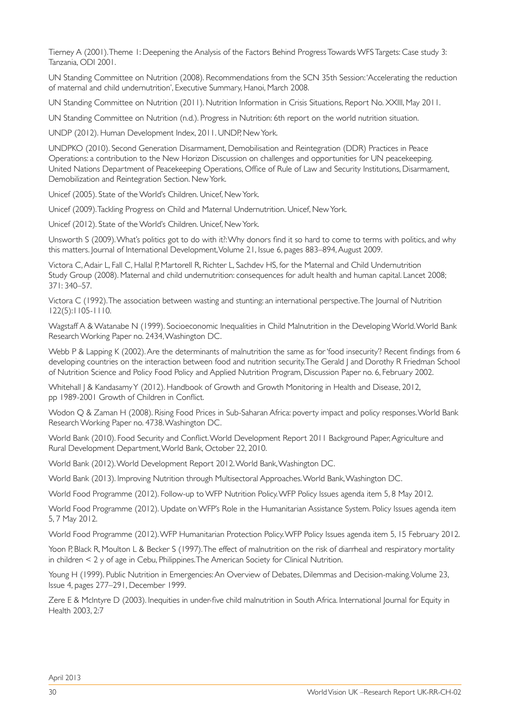Tierney A (2001). Theme 1: Deepening the Analysis of the Factors Behind Progress Towards WFS Targets: Case study 3: Tanzania, ODI 2001.

UN Standing Committee on Nutrition (2008). Recommendations from the SCN 35th Session: 'Accelerating the reduction of maternal and child undernutrition', Executive Summary, Hanoi, March 2008.

UN Standing Committee on Nutrition (2011). Nutrition Information in Crisis Situations, Report No. XXIII, May 2011.

UN Standing Committee on Nutrition (n.d.). Progress in Nutrition: 6th report on the world nutrition situation.

UNDP (2012). Human Development Index, 2011. UNDP, New York.

UNDPKO (2010). Second Generation Disarmament, Demobilisation and Reintegration (DDR) Practices in Peace Operations: a contribution to the New Horizon Discussion on challenges and opportunities for UN peacekeeping. United Nations Department of Peacekeeping Operations, Office of Rule of Law and Security Institutions, Disarmament, Demobilization and Reintegration Section. New York.

Unicef (2005). State of the World's Children. Unicef, New York.

Unicef (2009). Tackling Progress on Child and Maternal Undernutrition. Unicef, New York.

Unicef (2012). State of the World's Children. Unicef, New York.

Unsworth S (2009). What's politics got to do with it?: Why donors find it so hard to come to terms with politics, and why this matters. Journal of International Development, Volume 21, Issue 6, pages 883–894, August 2009.

Victora C, Adair L, Fall C, Hallal P, Martorell R, Richter L, Sachdev HS, for the Maternal and Child Undernutrition Study Group (2008). Maternal and child undernutrition: consequences for adult health and human capital. Lancet 2008; 371: 340–57.

Victora C (1992). The association between wasting and stunting: an international perspective. The Journal of Nutrition 122(5):1105-1110.

Wagstaff A & Watanabe N (1999). Socioeconomic Inequalities in Child Malnutrition in the Developing World. World Bank Research Working Paper no. 2434, Washington DC.

Webb P & Lapping K (2002). Are the determinants of malnutrition the same as for 'food insecurity'? Recent findings from 6 developing countries on the interaction between food and nutrition security. The Gerald J and Dorothy R Friedman School of Nutrition Science and Policy Food Policy and Applied Nutrition Program, Discussion Paper no. 6, February 2002.

Whitehall J & Kandasamy Y (2012). Handbook of Growth and Growth Monitoring in Health and Disease, 2012, pp 1989-2001 Growth of Children in Conflict.

Wodon Q & Zaman H (2008). Rising Food Prices in Sub-Saharan Africa: poverty impact and policy responses. World Bank Research Working Paper no. 4738. Washington DC.

World Bank (2010). Food Security and Conflict. World Development Report 2011 Background Paper, Agriculture and Rural Development Department, World Bank, October 22, 2010.

World Bank (2012). World Development Report 2012. World Bank, Washington DC.

World Bank (2013). Improving Nutrition through Multisectoral Approaches. World Bank, Washington DC.

World Food Programme (2012). Follow-up to WFP Nutrition Policy. WFP Policy Issues agenda item 5, 8 May 2012.

World Food Programme (2012). Update on WFP's Role in the Humanitarian Assistance System. Policy Issues agenda item 5, 7 May 2012.

World Food Programme (2012). WFP Humanitarian Protection Policy. WFP Policy Issues agenda item 5, 15 February 2012.

Yoon P, Black R, Moulton L & Becker S (1997). The effect of malnutrition on the risk of diarrheal and respiratory mortality in children < 2 y of age in Cebu, Philippines. The American Society for Clinical Nutrition.

Young H (1999). Public Nutrition in Emergencies: An Overview of Debates, Dilemmas and Decision-making. Volume 23, Issue 4, pages 277–291, December 1999.

Zere E & McIntyre D (2003). Inequities in under-five child malnutrition in South Africa. International Journal for Equity in Health 2003, 2:7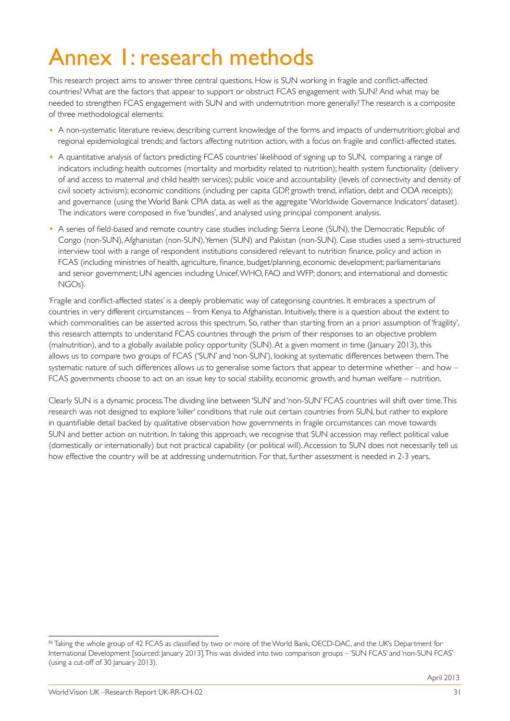## Annex 1: research methods

This research project aims to answer three central questions. How is SUN working in fragile and conflict-affected countries? What are the factors that appear to support or obstruct FCAS engagement with SUN? And what may be needed to strengthen FCAS engagement with SUN and with undernutrition more generally? The research is a composite of three methodological elements:

- A non-systematic literature review, describing current knowledge of the forms and impacts of undernutrition; global and regional epidemiological trends; and factors affecting nutrition action, with a focus on fragile and conflict-affected states.
- A quantitative analysis of factors predicting FCAS countries' likelihood of signing up to SUN, comparing a range of indicators including: health outcomes (mortality and morbidity related to nutrition); health system functionality (delivery of and access to maternal and child health services); public voice and accountability (levels of connectivity and density of civil society activism); economic conditions (including per capita GDP, growth trend, inflation, debt and ODA receipts); and governance (using the World Bank CPIA data, as well as the aggregate 'Worldwide Governance Indicators' dataset). The indicators were composed in five 'bundles', and analysed using principal component analysis.
- A series of field-based and remote country case studies including: Sierra Leone (SUN), the Democratic Republic of Congo (non-SUN), Afghanistan (non-SUN), Yemen (SUN) and Pakistan (non-SUN). Case studies used a semi-structured interview tool with a range of respondent institutions considered relevant to nutrition finance, policy and action in FCAS (including ministries of health, agriculture, finance, budget/planning, economic development; parliamentarians and senior government; UN agencies including Unicef, WHO, FAO and WFP; donors; and international and domestic NGOs).

'Fragile and conflict-affected states' is a deeply problematic way of categorising countries. It embraces a spectrum of countries in very different circumstances – from Kenya to Afghanistan. Intuitively, there is a question about the extent to which commonalities can be asserted across this spectrum. So, rather than starting from an a priori assumption of 'fragility', this research attempts to understand FCAS countries through the prism of their responses to an objective problem (malnutrition), and to a globally available policy opportunity (SUN). At a given moment in time (January 2013), this allows us to compare two groups of FCAS ('SUN' and 'non-SUN'), looking at systematic differences between them. The systematic nature of such differences allows us to generalise some factors that appear to determine whether – and how – FCAS governments choose to act on an issue key to social stability, economic growth, and human welfare – nutrition.

Clearly SUN is a dynamic process. The dividing line between 'SUN' and 'non-SUN' FCAS countries will shift over time. This research was not designed to explore 'killer' conditions that rule out certain countries from SUN, but rather to explore in quantifiable detail backed by qualitative observation how governments in fragile circumstances can move towards SUN and better action on nutrition. In taking this approach, we recognise that SUN accession may reflect political value (domestically or internationally) but not practical capability (or political will). Accession to SUN does not necessarily tell us how effective the country will be at addressing undernutrition. For that, further assessment is needed in 2-3 years.

<sup>86</sup> Taking the whole group of 42 FCAS as classified by two or more of: the World Bank, OECD-DAC, and the UK's Department for International Development [sourced: January 2013]. This was divided into two comparison groups – 'SUN FCAS' and 'non-SUN FCAS' (using a cut-off of 30 January 2013).